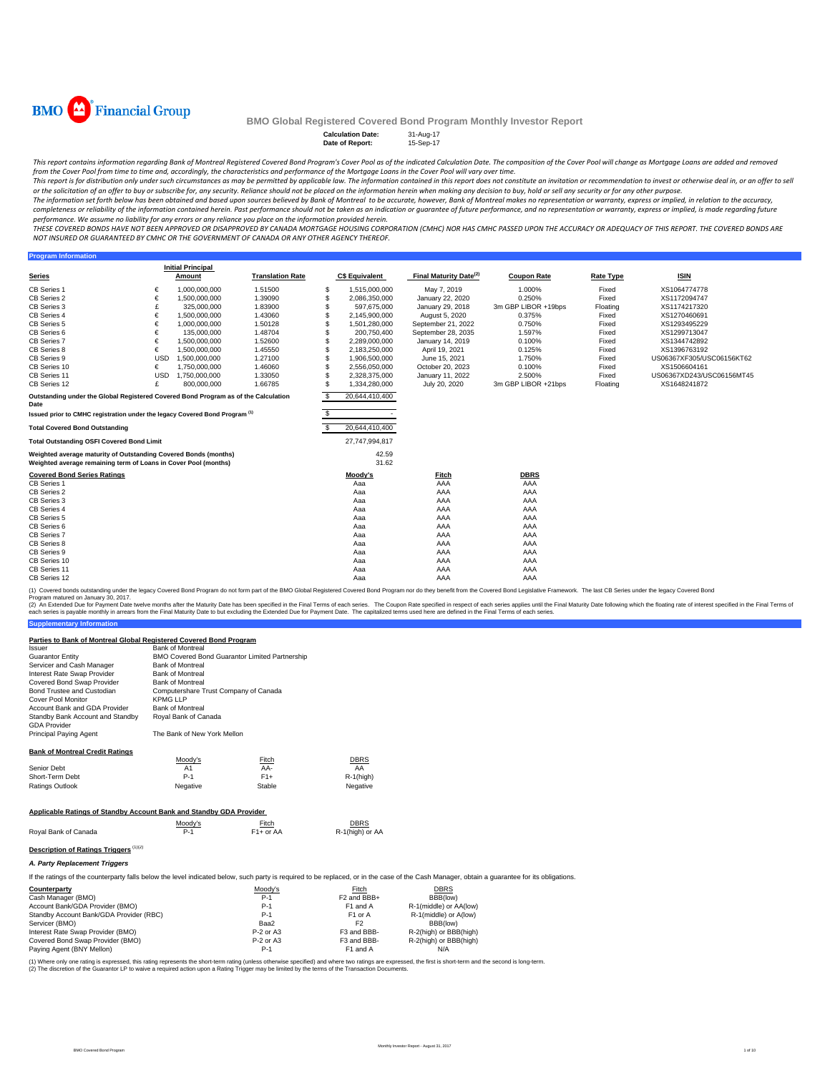

**Program Inform** 

### **BMO Global Registered Covered Bond Program Monthly Investor Report**

**Calculation Date:** 31-Aug-17 **Date of Report:** 15-Sep-17

This report contains information regarding Bank of Montreal Registered Covered Bond Program's Cover Pool as of the indicated Calculation Date. The composition of the Cover Pool will change as Mortgage Loans are added and r from the Cover Pool from time to time and, accordingly, the characteristics and performance of the Mortgage Loans in the Cover Pool will vary over time.

This report is for distribution only under such circumstances as may be permitted by applicable law. The information contained in this report does not constitute an invitation or recommendation to invest or otherwise deal

The information set forth below has been obtained and based upon sources believed by Bank of Montreal to be accurate, however, Bank of Montreal makes no representation or warranty, express or implied, in relation to the ac completeness or reliability of the information contained herein. Past performance should not be taken as an indication or guarantee of future performance, and no representation or warranty, express or implied, is made rega

THESE COVERED BONDS HAVE NOT BEEN APPROVED OR DISAPPROVED BY CANADA MORTGAGE HOUSING CORPORATION (CMHC) NOR HAS CMHC PASSED UPON THE ACCURACY OR ADEQUACY OF THIS REPORT. THE COVERED BONDS ARE *NOT INSURED OR GUARANTEED BY CMHC OR THE GOVERNMENT OF CANADA OR ANY OTHER AGENCY THEREOF.*

|                                                                                                                                    |            | <b>Initial Principal</b> |                         |   |                       |                                    |                     |                  |                           |  |
|------------------------------------------------------------------------------------------------------------------------------------|------------|--------------------------|-------------------------|---|-----------------------|------------------------------------|---------------------|------------------|---------------------------|--|
| <b>Series</b>                                                                                                                      |            | Amount                   | <b>Translation Rate</b> |   | <b>C\$ Equivalent</b> | Final Maturity Date <sup>(2)</sup> | <b>Coupon Rate</b>  | <b>Rate Type</b> | <b>ISIN</b>               |  |
| CB Series 1                                                                                                                        | €          | 1,000,000,000            | 1.51500                 | s | 1,515,000,000         | May 7, 2019                        | 1.000%              | Fixed            | XS1064774778              |  |
| CB Series 2                                                                                                                        | €          | 1.500.000.000            | 1.39090                 | S | 2,086,350,000         | January 22, 2020                   | 0.250%              | Fixed            | XS1172094747              |  |
| CB Series 3                                                                                                                        | £          | 325,000,000              | 1.83900                 |   | 597.675.000           | January 29, 2018                   | 3m GBP LIBOR +19bps | Floating         | XS1174217320              |  |
| CB Series 4                                                                                                                        | €          | 1.500.000.000            | 1.43060                 |   | 2.145.900.000         | August 5, 2020                     | 0.375%              | Fixed            | XS1270460691              |  |
| CB Series 5                                                                                                                        | €          | 1.000.000.000            | 1.50128                 |   | 1,501,280,000         | September 21, 2022                 | 0.750%              | Fixed            | XS1293495229              |  |
| CB Series 6                                                                                                                        | €          | 135,000,000              | 1.48704                 |   | 200.750.400           | September 28, 2035                 | 1.597%              | Fixed            | XS1299713047              |  |
| <b>CB Series 7</b>                                                                                                                 | €          | 1,500,000,000            | 1.52600                 |   | 2.289.000.000         | January 14, 2019                   | 0.100%              | Fixed            | XS1344742892              |  |
| CB Series 8                                                                                                                        | €          | 1.500.000.000            | 1.45550                 |   | 2,183,250,000         | April 19, 2021                     | 0.125%              | Fixed            | XS1396763192              |  |
| CB Series 9                                                                                                                        | <b>USD</b> | 1,500,000,000            | 1.27100                 |   | 1,906,500,000         | June 15, 2021                      | 1.750%              | Fixed            | US06367XF305/USC06156KT62 |  |
| CB Series 10                                                                                                                       | €          | 1.750.000.000            | 1.46060                 |   | 2.556.050.000         | October 20, 2023                   | 0.100%              | Fixed            | XS1506604161              |  |
| CB Series 11                                                                                                                       | <b>USD</b> | 1,750,000,000            | 1.33050                 |   | 2,328,375,000         | January 11, 2022                   | 2.500%              | Fixed            | US06367XD243/USC06156MT45 |  |
| CB Series 12                                                                                                                       | £          | 800.000.000              | 1.66785                 |   | 1,334,280,000         | July 20, 2020                      | 3m GBP LIBOR +21bps | Floating         | XS1648241872              |  |
| Outstanding under the Global Registered Covered Bond Program as of the Calculation<br>Date                                         |            |                          |                         |   | 20.644.410.400        |                                    |                     |                  |                           |  |
| Issued prior to CMHC registration under the legacy Covered Bond Program (1)                                                        |            |                          |                         |   |                       |                                    |                     |                  |                           |  |
| <b>Total Covered Bond Outstanding</b>                                                                                              |            |                          |                         |   | 20,644,410,400        |                                    |                     |                  |                           |  |
| <b>Total Outstanding OSFI Covered Bond Limit</b>                                                                                   |            |                          |                         |   | 27,747,994,817        |                                    |                     |                  |                           |  |
| Weighted average maturity of Outstanding Covered Bonds (months)<br>Weighted average remaining term of Loans in Cover Pool (months) |            |                          |                         |   | 42.59<br>31.62        |                                    |                     |                  |                           |  |
| <b>Covered Bond Series Ratings</b>                                                                                                 |            |                          |                         |   | Moody's               | Fitch                              | <b>DBRS</b>         |                  |                           |  |
| CB Series 1                                                                                                                        |            |                          |                         |   | Aaa                   | AAA                                | AAA                 |                  |                           |  |
| CB Series 2                                                                                                                        |            |                          |                         |   | Aaa                   | AAA                                | AAA                 |                  |                           |  |
| CB Series 3                                                                                                                        |            |                          |                         |   | Aaa                   | AAA                                | AAA                 |                  |                           |  |
| CB Series 4                                                                                                                        |            |                          |                         |   | Aaa                   | AAA                                | AAA                 |                  |                           |  |
| CB Series 5                                                                                                                        |            |                          |                         |   | Aaa                   | AAA                                | AAA                 |                  |                           |  |
| CB Series 6                                                                                                                        |            |                          |                         |   | Aaa                   | AAA                                | AAA                 |                  |                           |  |
| <b>CB Series 7</b>                                                                                                                 |            |                          |                         |   | Aaa                   | AAA                                | AAA                 |                  |                           |  |
| CB Series 8                                                                                                                        |            |                          |                         |   | Aaa                   | AAA                                | AAA                 |                  |                           |  |
| CB Series 9                                                                                                                        |            |                          |                         |   | Aaa                   | AAA                                | AAA                 |                  |                           |  |
| CB Series 10                                                                                                                       |            |                          |                         |   | Aaa                   | AAA                                | AAA                 |                  |                           |  |
| CB Series 11                                                                                                                       |            |                          |                         |   | Aaa                   | AAA                                | AAA                 |                  |                           |  |
| CB Series 12                                                                                                                       |            |                          |                         |   | Aaa                   | AAA                                | AAA                 |                  |                           |  |

(1) Covered bonds outstanding under the legacy Covered Bond Program do not form part of the BMO Global Registered Covered Bond Program nor do they benefit from the Covered Bond Legislative Framework. The last CB Series und

**Supplementary Information** (2) An Extended Due for Payment Date twelve months after the Maturity Date has been specified in the Final Terms of each series. The Coupon Rate specified in the Final Maturity Date to but excluding the Extended Due for Pa

#### **Parties to Bank of Montreal Global Registered Covered Bond Program**

| Parties to Bank of Montreal Global Registered Covered Bond Program                                                                                                                           |                                       |                                                |                         |                        |  |  |  |  |  |  |
|----------------------------------------------------------------------------------------------------------------------------------------------------------------------------------------------|---------------------------------------|------------------------------------------------|-------------------------|------------------------|--|--|--|--|--|--|
| Issuer                                                                                                                                                                                       | <b>Bank of Montreal</b>               |                                                |                         |                        |  |  |  |  |  |  |
| <b>Guarantor Entity</b>                                                                                                                                                                      |                                       | BMO Covered Bond Guarantor Limited Partnership |                         |                        |  |  |  |  |  |  |
| Servicer and Cash Manager                                                                                                                                                                    | <b>Bank of Montreal</b>               |                                                |                         |                        |  |  |  |  |  |  |
| Interest Rate Swap Provider                                                                                                                                                                  | <b>Bank of Montreal</b>               |                                                |                         |                        |  |  |  |  |  |  |
| Covered Bond Swap Provider                                                                                                                                                                   | <b>Bank of Montreal</b>               |                                                |                         |                        |  |  |  |  |  |  |
| Bond Trustee and Custodian                                                                                                                                                                   | Computershare Trust Company of Canada |                                                |                         |                        |  |  |  |  |  |  |
| Cover Pool Monitor                                                                                                                                                                           | <b>KPMGLLP</b>                        |                                                |                         |                        |  |  |  |  |  |  |
| Account Bank and GDA Provider                                                                                                                                                                | <b>Bank of Montreal</b>               |                                                |                         |                        |  |  |  |  |  |  |
| Standby Bank Account and Standby<br><b>GDA Provider</b>                                                                                                                                      | Royal Bank of Canada                  |                                                |                         |                        |  |  |  |  |  |  |
| Principal Paying Agent                                                                                                                                                                       | The Bank of New York Mellon           |                                                |                         |                        |  |  |  |  |  |  |
| <b>Bank of Montreal Credit Ratings</b>                                                                                                                                                       |                                       |                                                |                         |                        |  |  |  |  |  |  |
|                                                                                                                                                                                              | Moody's                               | Fitch                                          | <b>DBRS</b>             |                        |  |  |  |  |  |  |
| Senior Debt                                                                                                                                                                                  | A1                                    | AA-                                            | AA                      |                        |  |  |  |  |  |  |
| Short-Term Debt                                                                                                                                                                              | $P-1$                                 | $F1+$                                          | $R-1$ (high)            |                        |  |  |  |  |  |  |
| <b>Ratings Outlook</b>                                                                                                                                                                       | Negative                              | Stable                                         | Negative                |                        |  |  |  |  |  |  |
| Applicable Ratings of Standby Account Bank and Standby GDA Provider                                                                                                                          |                                       |                                                |                         |                        |  |  |  |  |  |  |
|                                                                                                                                                                                              |                                       |                                                |                         |                        |  |  |  |  |  |  |
|                                                                                                                                                                                              | Moody's                               | Fitch                                          | <b>DBRS</b>             |                        |  |  |  |  |  |  |
| Royal Bank of Canada                                                                                                                                                                         | $P-1$                                 | $F1+$ or AA                                    | R-1(high) or AA         |                        |  |  |  |  |  |  |
| Description of Ratings Triggers (1)(2)                                                                                                                                                       |                                       |                                                |                         |                        |  |  |  |  |  |  |
| A. Party Replacement Triggers                                                                                                                                                                |                                       |                                                |                         |                        |  |  |  |  |  |  |
| If the ratings of the counterparty falls below the level indicated below, such party is required to be replaced, or in the case of the Cash Manager, obtain a quarantee for its obligations. |                                       |                                                |                         |                        |  |  |  |  |  |  |
| Counterparty                                                                                                                                                                                 |                                       | Moody's                                        | Fitch                   | <b>DBRS</b>            |  |  |  |  |  |  |
| Cash Manager (BMO)                                                                                                                                                                           |                                       | $P-1$                                          | F <sub>2</sub> and BBB+ | BBB(low)               |  |  |  |  |  |  |
| Account Bank/GDA Provider (BMO)                                                                                                                                                              |                                       | $P-1$                                          | F1 and A                | R-1(middle) or AA(low) |  |  |  |  |  |  |
| Standby Account Bank/GDA Provider (RBC)                                                                                                                                                      |                                       | $P-1$                                          | F1 or A                 | R-1(middle) or A(low)  |  |  |  |  |  |  |
| Servicer (BMO)                                                                                                                                                                               |                                       | Baa2                                           | F <sub>2</sub>          | BBB(low)               |  |  |  |  |  |  |
| Interest Rate Swap Provider (BMO)                                                                                                                                                            |                                       | P-2 or A3                                      | F3 and BBB-             | R-2(high) or BBB(high) |  |  |  |  |  |  |
| Covered Bond Swap Provider (BMO)                                                                                                                                                             |                                       | $P-2$ or A3                                    | F3 and BBB-             | R-2(high) or BBB(high) |  |  |  |  |  |  |

Paying Agent (BNY Mellon) **P-1** F1 and A N/A

(1) Where only one rating is expressed, this rating represents the short-term rating (unless otherwise specified) and where two ratings are expressed, the first is short-term and the second is long-term.<br>(2) The discretion

BMO Covered Bond Program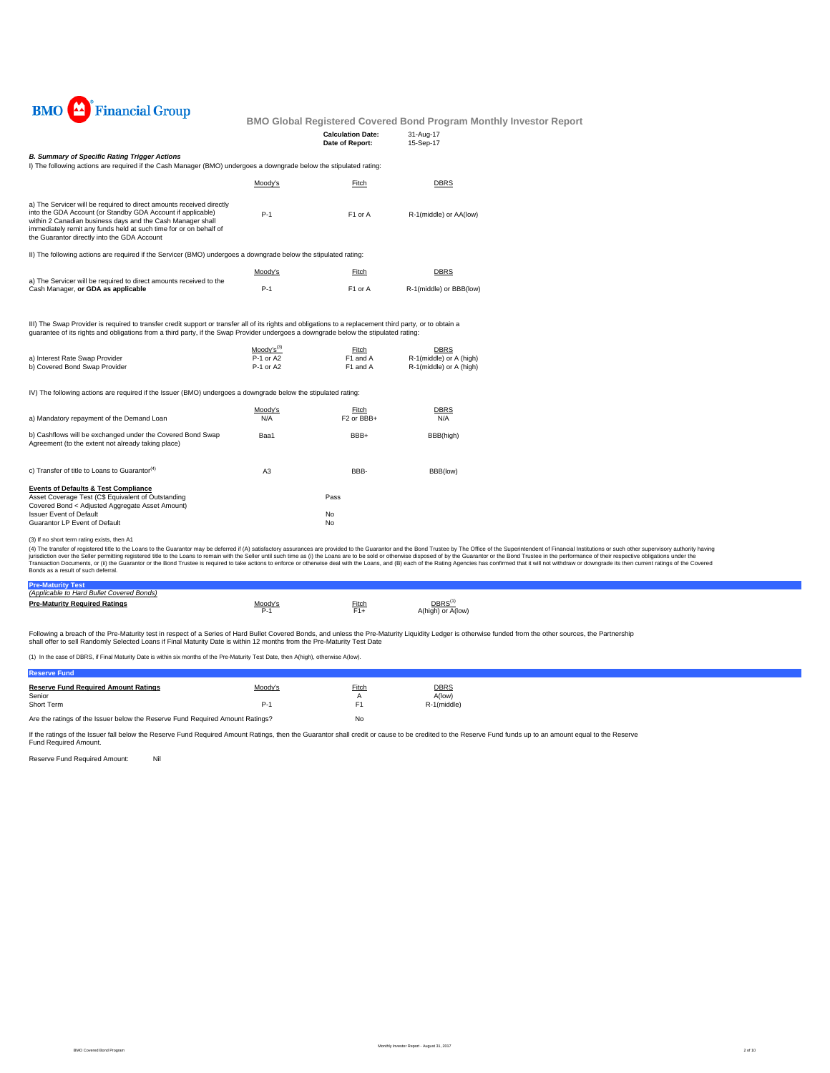

| <b>Calculation Date:</b> | 31-Aug-17 |
|--------------------------|-----------|
| Date of Report:          | 15-Sep-17 |

#### *B. Summary of Specific Rating Trigger Actions*

I) The following actions are required if the Cash Manager (BMO) undergoes a downgrade below the stipulated rating:

|                                                                                                                                                                                                                                                                                                                       | Moody's | Fitch               | <b>DBRS</b>             |
|-----------------------------------------------------------------------------------------------------------------------------------------------------------------------------------------------------------------------------------------------------------------------------------------------------------------------|---------|---------------------|-------------------------|
| a) The Servicer will be required to direct amounts received directly<br>into the GDA Account (or Standby GDA Account if applicable)<br>within 2 Canadian business days and the Cash Manager shall<br>immediately remit any funds held at such time for or on behalf of<br>the Guarantor directly into the GDA Account | $P-1$   | F <sub>1</sub> or A | R-1(middle) or AA(low)  |
| II) The following actions are required if the Servicer (BMO) undergoes a downgrade below the stipulated rating:                                                                                                                                                                                                       |         |                     |                         |
|                                                                                                                                                                                                                                                                                                                       | Moodv's | Fitch               | <b>DBRS</b>             |
| a) The Servicer will be required to direct amounts received to the<br>Cash Manager, or GDA as applicable                                                                                                                                                                                                              | $P-1$   | F <sub>1</sub> or A | R-1(middle) or BBB(low) |

III) The Swap Provider is required to transfer credit support or transfer all of its rights and obligations to a replacement third party, or to obtain a<br>guarantee of its rights and obligations from a third party, if the Sw

Moody's(3) Fitch DBRS

| a) Interest Rate Swap Provider | P-1 or A2 | F <sub>1</sub> and A | R-1(middle) or A (high) |
|--------------------------------|-----------|----------------------|-------------------------|
| b) Covered Bond Swap Provider  | P-1 or A2 | F1 and A             | R-1(middle) or A (high) |

IV) The following actions are required if the Issuer (BMO) undergoes a downgrade below the stipulated rating:

| a) Mandatory repayment of the Demand Loan                                                                        | Moody's<br>N/A | Fitch<br>F <sub>2</sub> or BBB+ | <b>DBRS</b><br>N/A |
|------------------------------------------------------------------------------------------------------------------|----------------|---------------------------------|--------------------|
| b) Cashflows will be exchanged under the Covered Bond Swap<br>Agreement (to the extent not already taking place) | Baa1           | BBB+                            | BBB(high)          |
| c) Transfer of title to Loans to Guarantor <sup>(4)</sup>                                                        | A <sub>3</sub> | BBB-                            | BBB(low)           |
| <b>Events of Defaults &amp; Test Compliance</b>                                                                  |                |                                 |                    |
| Asset Coverage Test (C\$ Equivalent of Outstanding                                                               |                | Pass                            |                    |
| Covered Bond < Adjusted Aggregate Asset Amount)                                                                  |                |                                 |                    |
| <b>Issuer Event of Default</b>                                                                                   |                | No                              |                    |
| Guarantor LP Event of Default                                                                                    |                | No                              |                    |

(3) If no short term rating exists, then A1

(4) The transfer of registered tilte to the Loans to the Guarantor may be deferred if (A) satistadoy assurances are provided to the Guarantor and the Bond Trustee by The Office of the Special orthose in the performance of

| <b>Pre-Maturity Test</b>                  |                |       |                                        |
|-------------------------------------------|----------------|-------|----------------------------------------|
| (Applicable to Hard Bullet Covered Bonds) |                |       |                                        |
| <b>Pre-Maturity Required Ratings</b>      | <u>Moody's</u> | ≂itch | DBRS <sup>(</sup><br>A(high) or A(low) |

Following a breach of the Pre-Maturity test in respect of a Series of Hard Bullet Covered Bonds, and unless the Pre-Maturity Liquidity Ledger is otherwise funded from the other sources, the Partnership<br>shall offer to sell

(1) In the case of DBRS, if Final Maturity Date is within six months of the Pre-Maturity Test Date, then A(high), otherwise A(low).

| <b>Reserve Fund</b>                                                           |         |                |                       |
|-------------------------------------------------------------------------------|---------|----------------|-----------------------|
| <b>Reserve Fund Required Amount Ratings</b><br>Senior                         | Moody's | Fitch          | <b>DBRS</b><br>A(low) |
| Short Term                                                                    | P-1     | F <sub>1</sub> | R-1(middle)           |
| Are the ratings of the Issuer below the Reserve Fund Required Amount Ratings? |         | No             |                       |

If the ratings of the Issuer fall below the Reserve Fund Required Amount Ratings, then the Guarantor shall credit or cause to be credited to the Reserve Fund funds up to an amount equal to the Reserve Fund Required Amount.

Reserve Fund Required Amount: Nil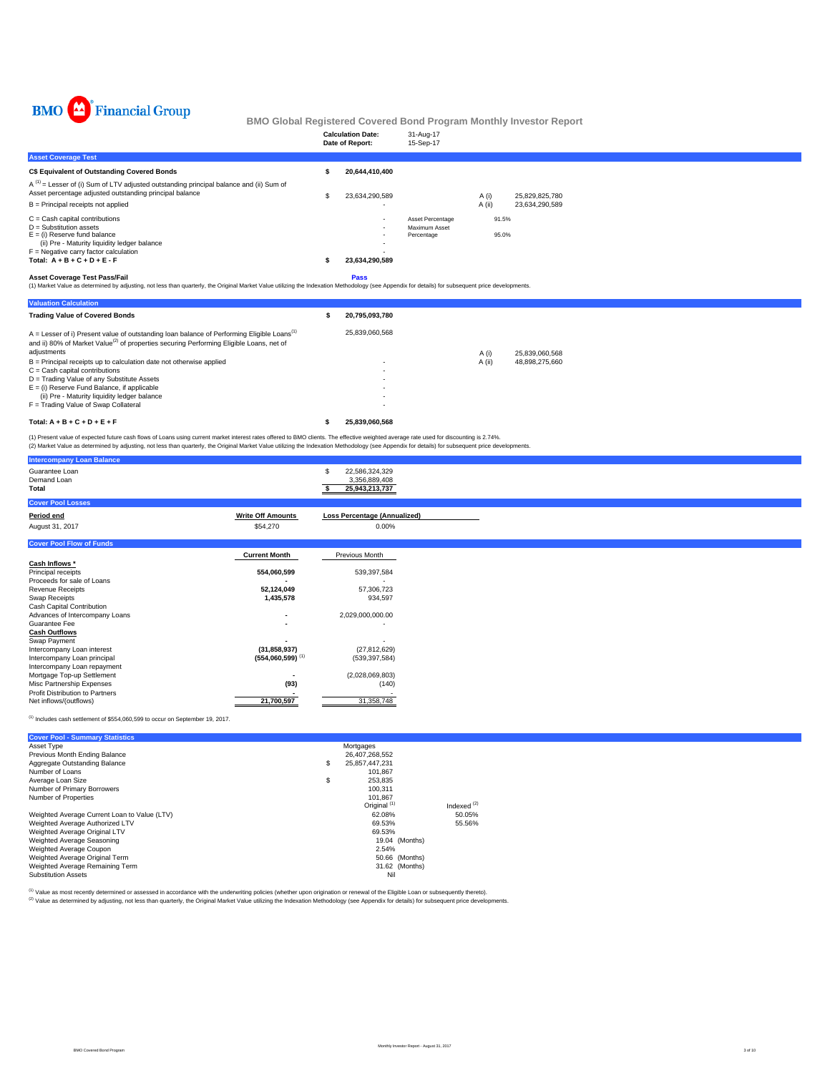

|                                                                                                                                                                                                                                            | <b>Calculation Date:</b><br>Date of Report: | 31-Aug-17<br>15-Sep-17                          |        |                |                |
|--------------------------------------------------------------------------------------------------------------------------------------------------------------------------------------------------------------------------------------------|---------------------------------------------|-------------------------------------------------|--------|----------------|----------------|
| <b>Asset Coverage Test</b>                                                                                                                                                                                                                 |                                             |                                                 |        |                |                |
| C\$ Equivalent of Outstanding Covered Bonds                                                                                                                                                                                                | 20.644.410.400                              |                                                 |        |                |                |
| $A^{(1)}$ = Lesser of (i) Sum of LTV adjusted outstanding principal balance and (ii) Sum of<br>Asset percentage adjusted outstanding principal balance                                                                                     | 23,634,290,589                              |                                                 | A (i)  |                | 25,829,825,780 |
| B = Principal receipts not applied                                                                                                                                                                                                         |                                             |                                                 | A (ii) |                | 23,634,290,589 |
| $C =$ Cash capital contributions<br>$D =$ Substitution assets<br>$E =$ (i) Reserve fund balance<br>(ii) Pre - Maturity liquidity ledger balance<br>$F =$ Negative carry factor calculation<br>Total: $A + B + C + D + E - F$               | $\sim$<br>$\sim$<br>23,634,290,589          | Asset Percentage<br>Maximum Asset<br>Percentage |        | 91.5%<br>95.0% |                |
| <b>Asset Coverage Test Pass/Fail</b><br>(1) Market Value as determined by adjusting, not less than quarterly, the Original Market Value utilizing the Indexation Methodology (see Appendix for details) for subsequent price developments. | Pass                                        |                                                 |        |                |                |
| <b>Valuation Calculation</b>                                                                                                                                                                                                               |                                             |                                                 |        |                |                |

| <b>Trading Value of Covered Bonds</b>                                                                                                                                                                                          | 20.795.093.780 |        |                |
|--------------------------------------------------------------------------------------------------------------------------------------------------------------------------------------------------------------------------------|----------------|--------|----------------|
| $A =$ Lesser of i) Present value of outstanding loan balance of Performing Eligible Loans <sup>(1)</sup><br>and ii) 80% of Market Value <sup>(2)</sup> of properties securing Performing Eligible Loans, net of<br>adjustments | 25.839.060.568 |        |                |
|                                                                                                                                                                                                                                |                | A (i)  | 25.839.060.568 |
| $B =$ Principal receipts up to calculation date not otherwise applied                                                                                                                                                          |                | A (ii) | 48.898.275.660 |
| $C =$ Cash capital contributions                                                                                                                                                                                               |                |        |                |
| D = Trading Value of any Substitute Assets                                                                                                                                                                                     |                |        |                |
| $E =$ (i) Reserve Fund Balance, if applicable                                                                                                                                                                                  |                |        |                |
| (ii) Pre - Maturity liquidity ledger balance                                                                                                                                                                                   |                |        |                |
| F = Trading Value of Swap Collateral                                                                                                                                                                                           |                |        |                |
| Total: $A + B + C + D + E + F$                                                                                                                                                                                                 | 25.839.060.568 |        |                |

(1) Present value of expected future cash flows of Loans using current market interest rates offered to BMO clients. The effective weighted average rate used for discounting is 2.74%.<br>(2) Market Value as determined by adju

| (2) Market Value as determined by adjusting, not less than quarterly, the Original Market Value utilizing the indexation Methodology (see Appendix for details) for subsequent price developments. |                                |                                                        |  |
|----------------------------------------------------------------------------------------------------------------------------------------------------------------------------------------------------|--------------------------------|--------------------------------------------------------|--|
| <b>Intercompany Loan Balance</b>                                                                                                                                                                   |                                |                                                        |  |
| Guarantee Loan<br>Demand Loan<br>Total                                                                                                                                                             |                                | 22,586,324,329<br>S<br>3,356,889,408<br>25,943,213,737 |  |
| <b>Cover Pool Losses</b>                                                                                                                                                                           |                                |                                                        |  |
| <b>Period end</b>                                                                                                                                                                                  | <b>Write Off Amounts</b>       | <b>Loss Percentage (Annualized)</b>                    |  |
| August 31, 2017                                                                                                                                                                                    | \$54,270                       | 0.00%                                                  |  |
| <b>Cover Pool Flow of Funds</b>                                                                                                                                                                    |                                |                                                        |  |
|                                                                                                                                                                                                    | <b>Current Month</b>           | Previous Month                                         |  |
| Cash Inflows *                                                                                                                                                                                     |                                |                                                        |  |
| Principal receipts                                                                                                                                                                                 | 554,060,599                    | 539,397,584                                            |  |
| Proceeds for sale of Loans                                                                                                                                                                         |                                |                                                        |  |
| <b>Revenue Receipts</b>                                                                                                                                                                            | 52,124,049                     | 57,306,723                                             |  |
| Swap Receipts                                                                                                                                                                                      | 1,435,578                      | 934,597                                                |  |
| Cash Capital Contribution                                                                                                                                                                          |                                |                                                        |  |
| Advances of Intercompany Loans                                                                                                                                                                     |                                | 2,029,000,000.00                                       |  |
| Guarantee Fee                                                                                                                                                                                      |                                | $\overline{\phantom{a}}$                               |  |
| <b>Cash Outflows</b>                                                                                                                                                                               |                                |                                                        |  |
| Swap Payment                                                                                                                                                                                       |                                |                                                        |  |
| Intercompany Loan interest                                                                                                                                                                         | (31, 858, 937)                 | (27, 812, 629)                                         |  |
| Intercompany Loan principal                                                                                                                                                                        | $(554,060,599)$ <sup>(1)</sup> | (539, 397, 584)                                        |  |
| Intercompany Loan repayment                                                                                                                                                                        |                                |                                                        |  |
| Mortgage Top-up Settlement                                                                                                                                                                         |                                | (2,028,069,803)                                        |  |
| Misc Partnership Expenses                                                                                                                                                                          | (93)                           | (140)                                                  |  |
| Profit Distribution to Partners                                                                                                                                                                    |                                |                                                        |  |
| Net inflows/(outflows)                                                                                                                                                                             | 21,700,597                     | 31,358,748                                             |  |

 $<sup>(1)</sup>$  Includes cash settlement of \$554,060,599 to occur on September 19, 2017.</sup>

| <b>Cover Pool - Summary Statistics</b>       |                         |               |  |
|----------------------------------------------|-------------------------|---------------|--|
| Asset Type                                   | Mortgages               |               |  |
| Previous Month Ending Balance                | 26.407.268.552          |               |  |
| Aggregate Outstanding Balance                | \$<br>25,857,447,231    |               |  |
| Number of Loans                              | 101.867                 |               |  |
| Average Loan Size                            | \$<br>253.835           |               |  |
| Number of Primary Borrowers                  | 100,311                 |               |  |
| Number of Properties                         | 101.867                 |               |  |
|                                              | Original <sup>(1)</sup> | Indexed $(2)$ |  |
| Weighted Average Current Loan to Value (LTV) | 62.08%                  | 50.05%        |  |
| Weighted Average Authorized LTV              | 69.53%                  | 55.56%        |  |
| Weighted Average Original LTV                | 69.53%                  |               |  |
| Weighted Average Seasoning                   | 19.04 (Months)          |               |  |
| Weighted Average Coupon                      | 2.54%                   |               |  |
| Weighted Average Original Term               | 50.66 (Months)          |               |  |
| Weighted Average Remaining Term              | 31.62 (Months)          |               |  |
| <b>Substitution Assets</b>                   | Nil                     |               |  |
|                                              |                         |               |  |

<sup>(t)</sup> Value as most recently determined or assessed in accordance with the underwriting policies (whether upon origination or renewal of the Eligible Loan or subsequently thereto).<br><sup>(2)</sup> Value as determined by adjusting, n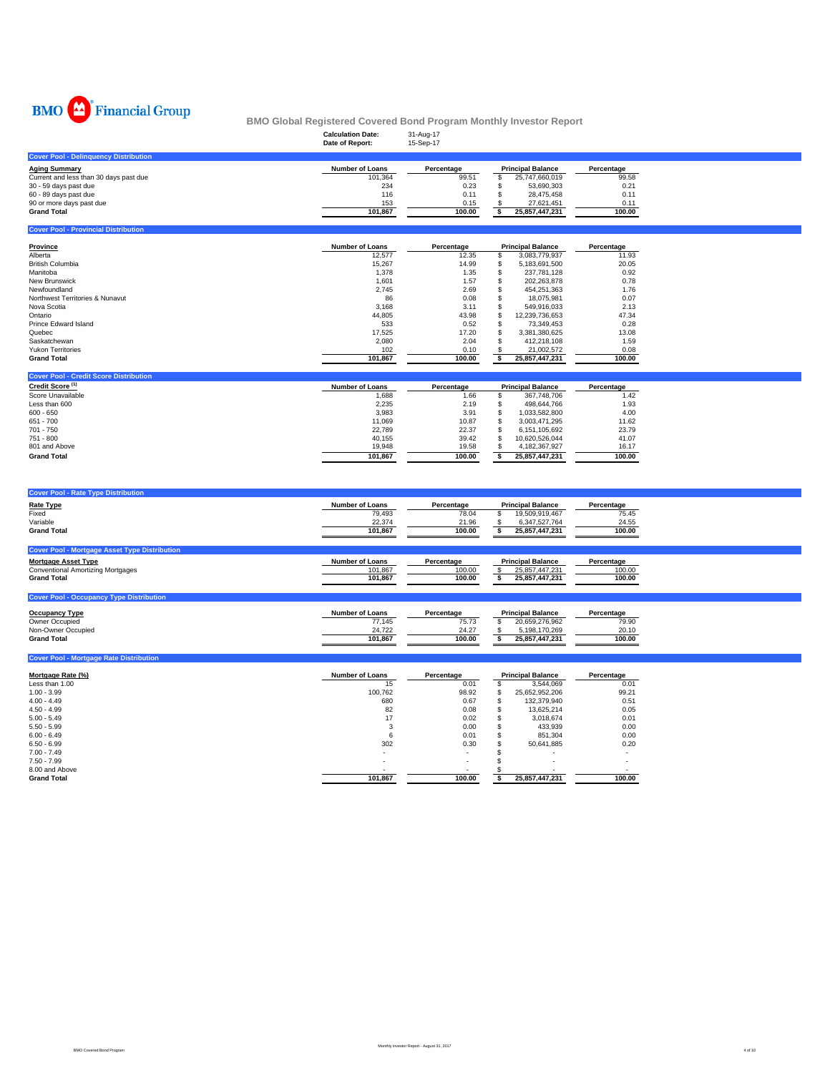

|                                              | -<br><b>Calculation Date:</b><br>Date of Report: | -<br>31-Aug-17<br>15-Sep-17 |                          |            |
|----------------------------------------------|--------------------------------------------------|-----------------------------|--------------------------|------------|
| <b>Cover Pool - Delinquency Distribution</b> |                                                  |                             |                          |            |
| <b>Aging Summary</b>                         | <b>Number of Loans</b>                           | Percentage                  | <b>Principal Balance</b> | Percentage |
| Current and less than 30 days past due       | 101.364                                          | 99.51                       | 25.747.660.019           | 99.58      |
| 30 - 59 days past due                        | 234                                              | 0.23                        | 53.690.303               | 0.21       |
| 60 - 89 days past due                        | 116                                              | 0.11                        | 28.475.458               | 0.11       |
| 90 or more days past due                     | 153                                              | 0.15                        | 27.621.451               | 0.11       |
| <b>Grand Total</b>                           | 101.867                                          | 100.00                      | 25,857,447,231           | 100.00     |
|                                              |                                                  |                             |                          |            |

| <b>Cover Pool - Provincial Distribution</b> |                        |            |     |                          |            |
|---------------------------------------------|------------------------|------------|-----|--------------------------|------------|
| Province                                    | <b>Number of Loans</b> | Percentage |     | <b>Principal Balance</b> | Percentage |
| Alberta                                     | 12,577                 | 12.35      | э.  | 3.083.779.937            | 11.93      |
| <b>British Columbia</b>                     | 15,267                 | 14.99      | ъ   | 5.183.691.500            | 20.05      |
| Manitoba                                    | 1.378                  | 1.35       |     | 237.781.128              | 0.92       |
| <b>New Brunswick</b>                        | 1,601                  | 1.57       |     | 202,263,878              | 0.78       |
| Newfoundland                                | 2,745                  | 2.69       | Ф   | 454.251.363              | 1.76       |
| Northwest Territories & Nunavut             | 86                     | 0.08       |     | 18.075.981               | 0.07       |
| Nova Scotia                                 | 3,168                  | 3.11       |     | 549.916.033              | 2.13       |
| Ontario                                     | 44,805                 | 43.98      | Эħ. | 12.239.736.653           | 47.34      |
| Prince Edward Island                        | 533                    | 0.52       | ъ   | 73.349.453               | 0.28       |
| Quebec                                      | 17.525                 | 17.20      | \$. | 3.381.380.625            | 13.08      |
| Saskatchewan                                | 2.080                  | 2.04       |     | 412.218.108              | 1.59       |
| <b>Yukon Territories</b>                    | 102                    | 0.10       |     | 21,002,572               | 0.08       |
| <b>Grand Total</b>                          | 101,867                | 100.00     |     | 25.857.447.231           | 100.00     |

| <b>Cover Pool - Credit Score Distribution</b> |                        |            |                          |                |            |
|-----------------------------------------------|------------------------|------------|--------------------------|----------------|------------|
| Credit Score <sup>(1)</sup>                   | <b>Number of Loans</b> | Percentage | <b>Principal Balance</b> |                | Percentage |
| Score Unavailable                             | 1.688                  | 1.66       |                          | 367.748.706    | 1.42       |
| Less than 600                                 | 2.235                  | 2.19       |                          | 498.644.766    | 1.93       |
| $600 - 650$                                   | 3.983                  | 3.91       |                          | 1.033.582.800  | 4.00       |
| 651 - 700                                     | 11.069                 | 10.87      |                          | 3.003.471.295  | 11.62      |
| 701 - 750                                     | 22.789                 | 22.37      |                          | 6.151.105.692  | 23.79      |
| 751 - 800                                     | 40.155                 | 39.42      |                          | 10.620.526.044 | 41.07      |
| 801 and Above                                 | 19.948                 | 19.58      |                          | 4.182.367.927  | 16.17      |
| <b>Grand Total</b>                            | 101.867                | 100.00     |                          | 25.857.447.231 | 100.00     |

| <b>Cover Pool - Rate Type Distribution</b>           |                        |            |                          |            |
|------------------------------------------------------|------------------------|------------|--------------------------|------------|
| <b>Rate Type</b>                                     | <b>Number of Loans</b> | Percentage | <b>Principal Balance</b> | Percentage |
| Fixed                                                | 79,493                 | 78.04      | 19,509,919,467           | 75.45      |
| Variable                                             | 22,374                 | 21.96      | 6,347,527,764            | 24.55      |
| <b>Grand Total</b>                                   | 101.867                | 100.00     | 25,857,447,231           | 100.00     |
|                                                      |                        |            |                          |            |
| <b>Cover Pool - Mortgage Asset Type Distribution</b> |                        |            |                          |            |
| <b>Mortgage Asset Type</b>                           | <b>Number of Loans</b> | Percentage | <b>Principal Balance</b> | Percentage |
| <b>Conventional Amortizing Mortgages</b>             | 101,867                | 100.00     | 25,857,447,231           | 100.00     |
| <b>Grand Total</b>                                   | 101.867                | 100.00     | 25,857,447,231           | 100.00     |
|                                                      |                        |            |                          |            |
| <b>Cover Pool - Occupancy Type Distribution</b>      |                        |            |                          |            |

| <b>Occupancy Type</b> | <b>Number of Loans</b> | Percentage | <b>Principal Balance</b> | Percentage |
|-----------------------|------------------------|------------|--------------------------|------------|
| Owner Occupied        | 77.145                 | 75.73      | 20.659.276.962           | 79.90      |
| Non-Owner Occupied    | 24.722                 | 24.27      | 5.198.170.269            | 20.10      |
| <b>Grand Total</b>    | 101.867                | 100.00     | 25.857.447.231           | 100.00     |

| <b>Cover Pool - Mortgage Rate Distribution</b> |                        |                          |    |                          |            |
|------------------------------------------------|------------------------|--------------------------|----|--------------------------|------------|
| Mortgage Rate (%)                              | <b>Number of Loans</b> | Percentage               |    | <b>Principal Balance</b> | Percentage |
| Less than 1.00                                 | 15                     | 0.01                     | ж  | 3.544.069                | 0.01       |
| $1.00 - 3.99$                                  | 100.762                | 98.92                    | S  | 25,652,952,206           | 99.21      |
| $4.00 - 4.49$                                  | 680                    | 0.67                     | ъ  | 132.379.940              | 0.51       |
| $4.50 - 4.99$                                  | 82                     | 0.08                     | ă. | 13.625.214               | 0.05       |
| $5.00 - 5.49$                                  | 17                     | 0.02                     |    | 3.018.674                | 0.01       |
| $5.50 - 5.99$                                  |                        | 0.00                     |    | 433,939                  | 0.00       |
| $6.00 - 6.49$                                  | 6                      | 0.01                     |    | 851.304                  | 0.00       |
| $6.50 - 6.99$                                  | 302                    | 0.30                     |    | 50.641.885               | 0.20       |
| $7.00 - 7.49$                                  |                        | $\overline{\phantom{a}}$ |    |                          |            |
| $7.50 - 7.99$                                  |                        | $\overline{\phantom{a}}$ |    |                          |            |
| 8.00 and Above                                 |                        | $\sim$                   |    |                          |            |
| <b>Grand Total</b>                             | 101,867                | 100.00                   |    | 25,857,447,231           | 100.00     |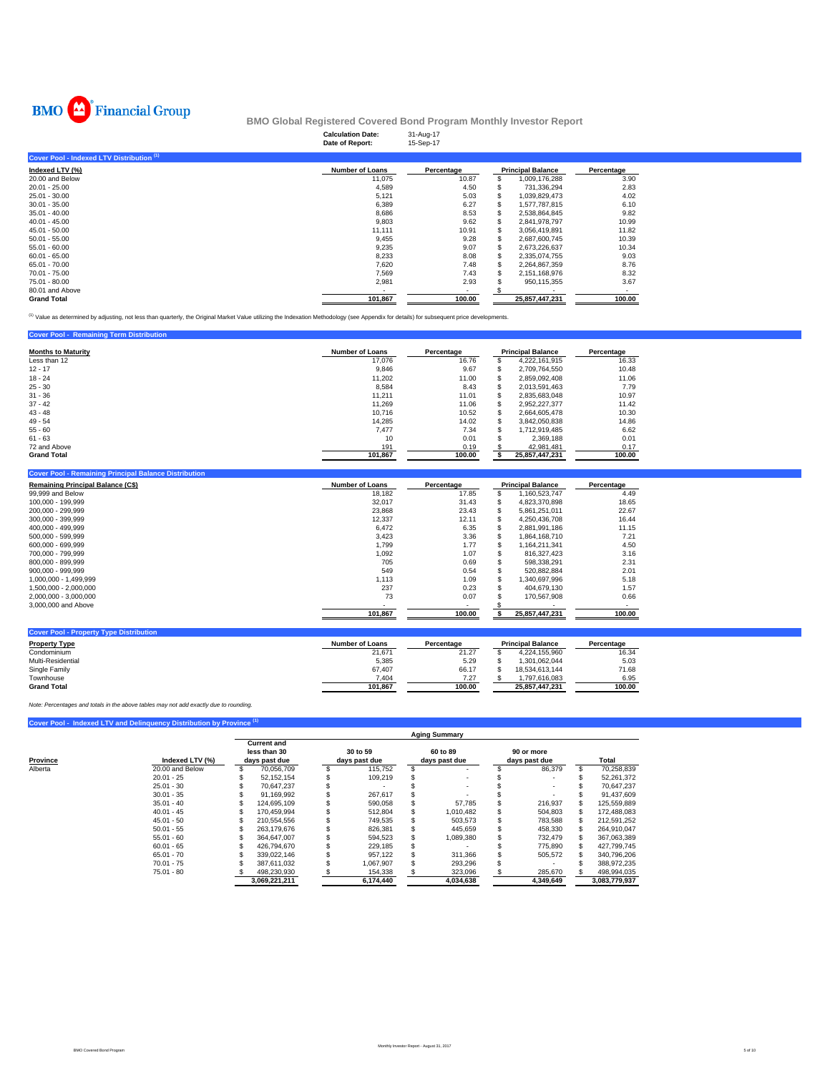

| -                                         | <b>Calculation Date:</b><br>Date of Report: | 31-Aug-17<br>15-Sep-17 |   |                          |            |
|-------------------------------------------|---------------------------------------------|------------------------|---|--------------------------|------------|
| Cover Pool - Indexed LTV Distribution (1) |                                             |                        |   |                          |            |
| Indexed LTV (%)                           | <b>Number of Loans</b>                      | Percentage             |   | <b>Principal Balance</b> | Percentage |
| 20.00 and Below                           | 11,075                                      | 10.87                  |   | 1,009,176,288            | 3.90       |
| $20.01 - 25.00$                           | 4,589                                       | 4.50                   |   | 731,336,294              | 2.83       |
| 25.01 - 30.00                             | 5,121                                       | 5.03                   |   | 1,039,829,473            | 4.02       |
| $30.01 - 35.00$                           | 6,389                                       | 6.27                   |   | 1,577,787,815            | 6.10       |
| $35.01 - 40.00$                           | 8,686                                       | 8.53                   |   | 2,538,864,845            | 9.82       |
| $40.01 - 45.00$                           | 9,803                                       | 9.62                   | S | 2,841,978,797            | 10.99      |
| 45.01 - 50.00                             | 11.111                                      | 10.91                  | s | 3.056.419.891            | 11.82      |
| $50.01 - 55.00$                           | 9,455                                       | 9.28                   |   | 2,687,600,745            | 10.39      |
| $55.01 - 60.00$                           | 9,235                                       | 9.07                   |   | 2,673,226,637            | 10.34      |
| $60.01 - 65.00$                           | 8,233                                       | 8.08                   |   | 2,335,074,755            | 9.03       |
| 65.01 - 70.00                             | 7,620                                       | 7.48                   |   | 2,264,867,359            | 8.76       |
| 70.01 - 75.00                             | 7,569                                       | 7.43                   |   | 2,151,168,976            | 8.32       |
| 75.01 - 80.00                             | 2,981                                       | 2.93                   |   | 950,115,355              | 3.67       |
| 80.01 and Above                           |                                             |                        |   |                          |            |
| <b>Grand Total</b>                        | 101,867                                     | 100.00                 |   | 25,857,447,231           | 100.00     |

(1) Value as determined by adjusting, not less than quarterly, the Original Market Value utilizing the Indexation Methodology (see Appendix for details) for subsequent price developments.

| <b>Cover Pool - Remaining Term Distribution</b> |                        |            |   |                          |            |  |
|-------------------------------------------------|------------------------|------------|---|--------------------------|------------|--|
| <b>Months to Maturity</b>                       | <b>Number of Loans</b> | Percentage |   | <b>Principal Balance</b> | Percentage |  |
| Less than 12                                    | 17,076                 | 16.76      |   | 4.222.161.915            | 16.33      |  |
| $12 - 17$                                       | 9.846                  | 9.67       | ъ | 2.709.764.550            | 10.48      |  |
| $18 - 24$                                       | 11,202                 | 11.00      |   | 2.859.092.408            | 11.06      |  |
| $25 - 30$                                       | 8.584                  | 8.43       | ъ | 2.013.591.463            | 7.79       |  |
| $31 - 36$                                       | 11,211                 | 11.01      |   | 2,835,683,048            | 10.97      |  |
| $37 - 42$                                       | 11.269                 | 11.06      |   | 2.952.227.377            | 11.42      |  |
| $43 - 48$                                       | 10.716                 | 10.52      |   | 2.664.605.478            | 10.30      |  |
| $49 - 54$                                       | 14.285                 | 14.02      |   | 3.842.050.838            | 14.86      |  |
| $55 - 60$                                       | 7.477                  | 7.34       |   | 1.712.919.485            | 6.62       |  |
| $61 - 63$                                       | 10                     | 0.01       |   | 2.369.188                | 0.01       |  |
| 72 and Above                                    | 191                    | 0.19       |   | 42.981.481               | 0.17       |  |
| <b>Grand Total</b>                              | 101.867                | 100.00     |   | 25.857.447.231           | 100.00     |  |

| <b>Number of Loans</b> | Percentage |   |                | Percentage               |
|------------------------|------------|---|----------------|--------------------------|
| 18.182                 | 17.85      |   | 1,160,523,747  | 4.49                     |
| 32,017                 | 31.43      |   | 4.823.370.898  | 18.65                    |
| 23.868                 | 23.43      | s | 5.861.251.011  | 22.67                    |
| 12,337                 | 12.11      |   | 4.250.436.708  | 16.44                    |
| 6,472                  | 6.35       |   | 2.881.991.186  | 11.15                    |
| 3,423                  | 3.36       |   | 1.864.168.710  | 7.21                     |
| 1.799                  | 1.77       |   | 1.164.211.341  | 4.50                     |
| 1,092                  | 1.07       |   | 816.327.423    | 3.16                     |
| 705                    | 0.69       |   | 598.338.291    | 2.31                     |
| 549                    | 0.54       |   | 520.882.884    | 2.01                     |
| 1.113                  | 1.09       |   | 1.340.697.996  | 5.18                     |
| 237                    | 0.23       |   | 404.679.130    | 1.57                     |
| 73                     | 0.07       |   | 170.567.908    | 0.66                     |
|                        |            |   |                |                          |
| 101,867                | 100.00     |   | 25.857.447.231 | 100.00                   |
|                        |            |   |                | <b>Principal Balance</b> |

| <b>Number of Loans</b> | Percentage |                | Percentage               |
|------------------------|------------|----------------|--------------------------|
| 21.671                 | 21.27      | 4.224.155.960  | 16.34                    |
| 5.385                  | 5.29       | 1.301.062.044  | 5.03                     |
| 67.407                 | 66.17      | 18.534.613.144 | 71.68                    |
| 7.404                  | 7.27       | 1.797.616.083  | 6.95                     |
| 101.867                | 100.00     | 25.857.447.231 | 100.00                   |
|                        |            |                | <b>Principal Balance</b> |

*Note: Percentages and totals in the above tables may not add exactly due to rounding.*

### **Cover Pool - Indexed LTV and Delinquency Distribution by Province**

|          |                 |                                                     |                           | <b>Aging Summary</b>      |                             |               |
|----------|-----------------|-----------------------------------------------------|---------------------------|---------------------------|-----------------------------|---------------|
| Province | Indexed LTV (%) | <b>Current and</b><br>less than 30<br>days past due | 30 to 59<br>days past due | 60 to 89<br>days past due | 90 or more<br>days past due | Total         |
| Alberta  | 20.00 and Below | 70.056.709                                          | 115,752                   |                           | 86,379                      | 70,258,839    |
|          | $20.01 - 25$    | 52.152.154                                          | 109.219                   |                           |                             | 52,261,372    |
|          | $25.01 - 30$    | 70.647.237                                          |                           |                           |                             | 70.647.237    |
|          | $30.01 - 35$    | 91.169.992                                          | 267.617                   |                           |                             | 91.437.609    |
|          | $35.01 - 40$    | 124.695.109                                         | 590.058                   | 57.785                    | 216.937                     | 125.559.889   |
|          | $40.01 - 45$    | 170.459.994                                         | 512.804                   | 1.010.482                 | 504,803                     | 172,488,083   |
|          | $45.01 - 50$    | 210.554.556                                         | 749.535                   | 503,573                   | 783,588                     | 212,591,252   |
|          | $50.01 - 55$    | 263.179.676                                         | 826.381                   | 445.659                   | 458,330                     | 264.910.047   |
|          | $55.01 - 60$    | 364.647.007                                         | 594.523                   | 1,089,380                 | 732.479                     | 367,063,389   |
|          | $60.01 - 65$    | 426.794.670                                         | 229.185                   |                           | 775,890                     | 427.799.745   |
|          | $65.01 - 70$    | 339.022.146                                         | 957.122                   | 311.366                   | 505.572                     | 340,796,206   |
|          | $70.01 - 75$    | 387.611.032                                         | 1.067.907                 | 293,296                   |                             | 388.972.235   |
|          | $75.01 - 80$    | 498.230.930                                         | 154,338                   | 323,096                   | 285,670                     | 498,994,035   |
|          |                 | 3.069.221.211                                       | 6.174.440                 | 4,034,638                 | 4.349.649                   | 3.083.779.937 |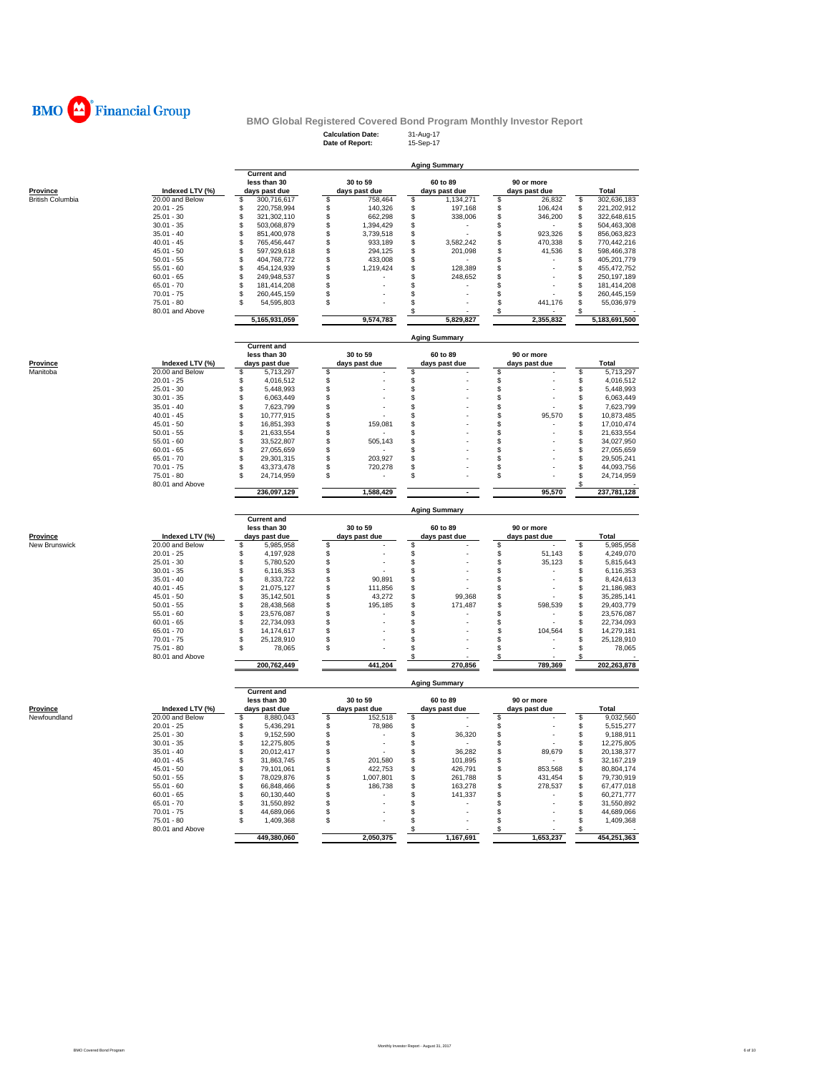

## **Calculation Date:** 31-Aug-17 **Date of Report:** 15-Sep-17 **BMO Global Registered Covered Bond Program Monthly Investor Report**

|                                 |                              | <b>Current and</b>                  |          | 30 to 59                  | <b>Aging Summary</b> | 60 to 89                  |          | 90 or more                  |          |                         |
|---------------------------------|------------------------------|-------------------------------------|----------|---------------------------|----------------------|---------------------------|----------|-----------------------------|----------|-------------------------|
| <b>Province</b>                 | Indexed LTV (%)              | less than 30<br>days past due       |          | days past due             |                      | days past due             |          | days past due               |          | <b>Total</b>            |
| <b>British Columbia</b>         | 20.00 and Below              | \$<br>300,716,617                   | \$       | 758,464                   | \$                   | 1,134,271                 | \$       | 26,832                      | \$       | 302,636,183             |
|                                 | $20.01 - 25$                 | 220,758,994<br>S                    | \$       | 140,326                   | \$                   | 197,168                   | \$       | 106,424                     | \$       | 221,202,912             |
|                                 | $25.01 - 30$                 | \$<br>321,302,110                   | \$       | 662,298                   | \$                   | 338,006                   | \$       | 346,200                     | \$       | 322,648,615             |
|                                 | $30.01 - 35$                 | \$<br>503,068,879                   | \$       | 1,394,429                 | \$                   | $\overline{\phantom{a}}$  | \$       | $\sim$                      | \$       | 504,463,308             |
|                                 | $35.01 - 40$                 | 851,400,978<br>\$                   | \$       | 3,739,518                 | \$                   |                           | \$       | 923,326                     | \$       | 856,063,823             |
|                                 | $40.01 - 45$                 | \$<br>765,456,447                   | \$       | 933,189                   | \$                   | 3,582,242                 | \$       | 470,338                     | \$       | 770,442,216             |
|                                 | $45.01 - 50$                 | \$<br>597,929,618                   | \$       | 294,125                   | \$                   | 201,098                   | \$       | 41,536                      | \$       | 598,466,378             |
|                                 | $50.01 - 55$                 | \$<br>404,768,772                   | \$       | 433,008                   | \$                   |                           | \$       |                             | \$       | 405,201,779             |
|                                 | $55.01 - 60$                 | 454,124,939<br>\$                   | \$       | 1,219,424                 | \$                   | 128,389                   | \$       |                             | \$       | 455,472,752             |
|                                 | $60.01 - 65$                 | \$<br>249,948,537                   | \$       |                           | \$                   | 248,652                   | \$       |                             | \$       | 250,197,189             |
|                                 | $65.01 - 70$                 | \$<br>181,414,208                   | \$       | J.                        | \$                   |                           | \$       |                             | \$       | 181,414,208             |
|                                 | $70.01 - 75$                 | S<br>260,445,159                    | \$       |                           | \$                   |                           | \$       |                             | \$       | 260,445,159             |
|                                 | $75.01 - 80$                 | 54,595,803<br>Я                     | S        |                           | \$                   |                           | S        | 441,176                     | \$       | 55,036,979              |
|                                 | 80.01 and Above              | 5,165,931,059                       |          | 9,574,783                 | \$                   | 5,829,827                 | \$       | 2,355,832                   | \$       | 5,183,691,500           |
|                                 |                              |                                     |          |                           | <b>Aging Summary</b> |                           |          |                             |          |                         |
|                                 |                              | <b>Current and</b>                  |          |                           |                      |                           |          |                             |          |                         |
|                                 |                              | less than 30                        |          | 30 to 59                  |                      | 60 to 89                  |          | 90 or more                  |          |                         |
| Province                        | Indexed LTV (%)              | days past due                       |          | days past due             |                      | days past due             |          | days past due               |          | Total                   |
| Manitoba                        | 20.00 and Below              | \$<br>5,713,297                     | S        |                           | \$                   |                           | \$       |                             | \$       | 5,713,297               |
|                                 | $20.01 - 25$                 | \$<br>4,016,512                     | \$       |                           | \$                   |                           | \$       |                             | \$       | 4,016,512               |
|                                 | $25.01 - 30$                 | \$<br>5,448,993                     | \$       |                           | \$                   |                           | \$       |                             | \$       | 5,448,993               |
|                                 | $30.01 - 35$<br>$35.01 - 40$ | \$<br>6,063,449<br>\$<br>7,623,799  | \$<br>\$ |                           | \$<br>\$             |                           | \$<br>\$ |                             | \$<br>\$ | 6,063,449               |
|                                 | $40.01 - 45$                 | \$                                  |          |                           |                      |                           | \$       | 95,570                      | \$       | 7,623,799<br>10,873,485 |
|                                 | $45.01 - 50$                 | 10,777,915<br>\$<br>16,851,393      | \$<br>\$ | 159,081                   | \$<br>\$             |                           | \$       |                             | \$       | 17,010,474              |
|                                 | $50.01 - 55$                 | \$<br>21,633,554                    | \$       |                           | \$                   |                           | \$       |                             | \$       | 21,633,554              |
|                                 | $55.01 - 60$                 | \$<br>33,522,807                    | \$       | 505,143                   | \$                   |                           | \$       |                             | \$       | 34,027,950              |
|                                 | $60.01 - 65$                 | \$<br>27,055,659                    | S        |                           | \$                   |                           | \$       |                             | \$       | 27,055,659              |
|                                 | $65.01 - 70$                 | \$<br>29,301,315                    | \$       | 203,927                   | \$                   |                           | \$       |                             | \$       | 29,505,241              |
|                                 | $70.01 - 75$                 | 43,373,478<br>\$                    | \$       | 720,278                   | \$                   |                           | \$       |                             | \$       | 44,093,756              |
|                                 | $75.01 - 80$                 | 24,714,959                          | S        |                           | S                    |                           | \$       |                             | \$       | 24,714,959              |
|                                 | 80.01 and Above              |                                     |          |                           |                      |                           |          |                             | \$       |                         |
|                                 |                              | 236,097,129                         |          | 1,588,429                 |                      | $\blacksquare$            |          | 95,570                      |          | 237,781,128             |
|                                 |                              |                                     |          |                           | <b>Aging Summary</b> |                           |          |                             |          |                         |
|                                 |                              | <b>Current and</b>                  |          |                           |                      |                           |          |                             |          |                         |
| Province                        | Indexed LTV (%)              | less than 30<br>days past due       |          | 30 to 59<br>days past due |                      | 60 to 89<br>days past due |          | 90 or more<br>days past due |          | Total                   |
| New Brunswick                   | 20.00 and Below              | S<br>5,985,958                      | S        |                           | \$                   |                           | S        |                             | \$       | 5,985,958               |
|                                 | $20.01 - 25$                 | 4,197,928<br>\$                     | \$       |                           | \$                   |                           | \$       | 51,143                      | \$       | 4,249,070               |
|                                 | $25.01 - 30$                 | 5,780,520<br>\$                     | \$       |                           | \$                   |                           | \$       | 35,123                      | \$       | 5,815,643               |
|                                 | $30.01 - 35$                 | \$<br>6,116,353                     | \$       |                           | \$                   |                           | \$       |                             | \$       | 6,116,353               |
|                                 | $35.01 - 40$                 | \$<br>8,333,722                     | \$       | 90,891                    | \$                   |                           | \$       |                             | \$       | 8,424,613               |
|                                 | $40.01 - 45$                 | \$<br>21,075,127                    | \$       | 111,856                   | \$                   |                           | \$       |                             | \$       | 21,186,983              |
|                                 | $45.01 - 50$                 | \$<br>35,142,501                    | \$       | 43,272                    | \$                   | 99,368                    | \$       |                             | \$       | 35,285,141              |
|                                 | $50.01 - 55$                 | \$<br>28,438,568                    | \$       | 195,185                   | \$                   | 171,487                   | \$       | 598,539                     | \$       | 29,403,779              |
|                                 | $55.01 - 60$                 | \$<br>23,576,087                    | \$       |                           | \$                   |                           | \$       |                             | \$       | 23,576,087              |
|                                 | $60.01 - 65$                 | \$<br>22,734,093                    | \$       |                           | \$                   |                           | \$       |                             | \$       | 22,734,093              |
|                                 | $65.01 - 70$                 | 14,174,617<br>\$                    | \$       |                           | \$                   |                           | \$       | 104,564                     | \$       | 14,279,181              |
|                                 | $70.01 - 75$                 | \$<br>25,128,910                    | S        |                           | \$                   |                           | \$       |                             | \$       | 25,128,910              |
|                                 | $75.01 - 80$                 | \$<br>78,065                        | S        |                           | \$                   |                           | \$       |                             | \$       | 78,065                  |
|                                 | 80.01 and Above              | 200,762,449                         |          | 441,204                   | \$                   | 270,856                   | \$       | 789,369                     |          | 202,263,878             |
|                                 |                              |                                     |          |                           | <b>Aging Summary</b> |                           |          |                             |          |                         |
|                                 |                              | <b>Current and</b>                  |          |                           |                      |                           |          |                             |          |                         |
|                                 |                              |                                     |          | 30 to 59                  |                      | 60 to 89                  |          | 90 or more                  |          |                         |
|                                 |                              | less than 30                        |          | days past due             |                      | days past due             |          | days past due               |          | Total                   |
|                                 | Indexed LTV (%)              | days past due                       |          |                           |                      |                           |          |                             | \$       | 9,032,560               |
|                                 | 20.00 and Below              | \$<br>8,880,043                     | \$       | 152,518                   | \$                   |                           | \$       |                             |          |                         |
|                                 | $20.01 - 25$                 | 5,436,291<br>\$                     | \$       | 78,986                    | \$                   |                           | \$       |                             | \$       | 5,515,277               |
|                                 | $25.01 - 30$                 | 9,152,590<br>\$                     | \$       |                           | \$                   | 36,320                    | \$       |                             | \$       | 9,188,911               |
|                                 | $30.01 - 35$                 | \$<br>12,275,805                    | \$       | ÷,                        | \$                   |                           | \$       |                             | \$       | 12,275,805              |
|                                 | $35.01 - 40$                 | \$<br>20,012,417                    | \$       | $\overline{a}$            | \$                   | 36,282                    | \$       | 89,679                      | \$       | 20,138,377              |
|                                 | $40.01 - 45$                 | \$<br>31,863,745                    | \$       | 201,580                   | \$                   | 101,895                   | \$       |                             | \$       | 32.167.219              |
|                                 | $45.01 - 50$                 | \$<br>79,101,061                    | \$       | 422,753                   | \$                   | 426,791                   | \$       | 853,568                     | \$       | 80,804,174              |
|                                 | $50.01 - 55$                 | \$<br>78,029,876                    | \$       | 1,007,801                 | \$                   | 261,788                   | \$       | 431,454                     | \$       | 79,730,919              |
|                                 | $55.01 - 60$                 | \$<br>66,848,466                    | \$       | 186,738                   | \$                   | 163,278                   | S        | 278,537                     | \$       | 67,477,018              |
|                                 | $60.01 - 65$                 | 60,130,440<br>\$                    | S        |                           | \$                   | 141,337                   | \$       |                             | \$       | 60,271,777              |
|                                 | $65.01 - 70$                 | \$<br>31,550,892                    | S        |                           | \$                   |                           | S        |                             | \$       | 31,550,892              |
| <b>Province</b><br>Newfoundland | $70.01 - 75$<br>$75.01 - 80$ | \$<br>44,689,066<br>\$<br>1,409,368 | S<br>\$  |                           | \$<br>\$             |                           | \$<br>\$ |                             | \$<br>\$ | 44,689,066<br>1,409,368 |

 **2,050,375 449,380,060 1,167,691 1,653,237 454,251,363**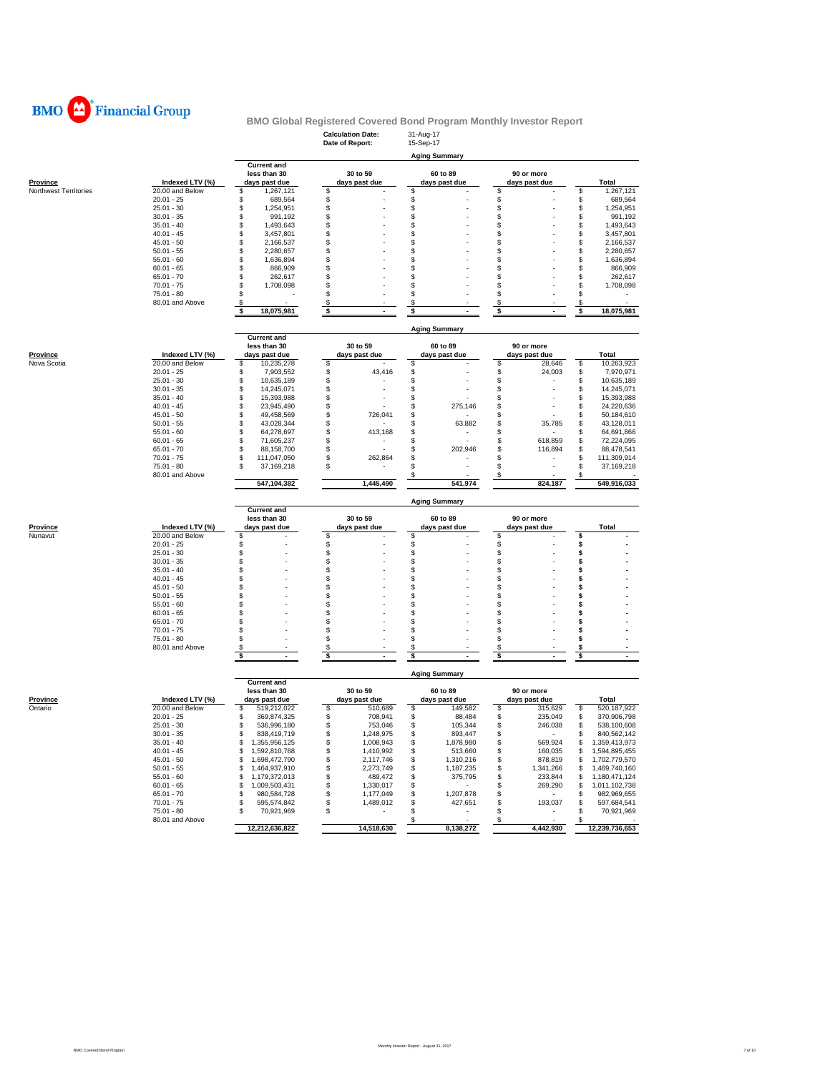

| <b>Aging Summary</b><br><b>Current and</b><br>less than 30<br>30 to 59<br>60 to 89<br>90 or more<br>Indexed LTV (%)<br><b>Province</b><br>days past due<br>days past due<br>days past due<br>days past due<br>Northwest Territories<br>20.00 and Below<br>1,267,121<br>\$<br>\$<br>\$<br>\$<br>S<br>\$<br>\$<br>$20.01 - 25$<br>\$<br>689,564<br>\$<br>\$<br>\$<br>\$<br>\$<br>\$<br>\$<br>$25.01 - 30$<br>1,254,951<br>\$<br>$30.01 - 35$<br>991,192<br>\$<br>\$<br>\$<br>\$<br>\$<br>$35.01 - 40$<br>1,493,643<br>\$<br>\$<br>\$<br>\$<br>\$<br>\$<br>\$<br>\$<br>\$<br>$40.01 - 45$<br>3,457,801<br>\$<br>\$<br>\$<br>\$<br>\$<br>$45.01 - 50$<br>2,166,537<br>\$<br>2,280,657<br>\$<br>\$<br>\$<br>\$<br>$50.01 - 55$<br>\$<br>1,636,894<br>\$<br>\$<br>\$<br>$55.01 - 60$<br>\$<br>\$<br>\$<br>\$<br>866,909<br>\$<br>\$<br>$60.01 - 65$<br>\$<br>\$<br>\$<br>\$<br>$65.01 - 70$<br>262,617<br>S<br>\$<br>\$<br>\$<br>\$<br>$70.01 - 75$<br>1,708,098<br>S<br>$75.01 - 80$<br>\$<br>\$<br>\$<br>\$<br>\$<br>80.01 and Above<br>\$<br>\$<br>\$<br>\$<br>\$<br>\$<br>\$<br>\$<br>\$<br>\$<br>18,075,981<br><b>Aging Summary</b><br><b>Current and</b><br>30 to 59<br>60 to 89<br>90 or more<br>less than 30<br>Indexed LTV (%)<br>days past due<br>days past due<br>days past due<br>days past due<br><b>Province</b><br>20.00 and Below<br>\$<br>Nova Scotia<br>\$<br>10,235,278<br>\$<br>\$<br>\$<br>28,646<br>\$<br>\$<br>\$<br>$20.01 - 25$<br>\$<br>43,416<br>24,003<br>\$<br>7,903,552<br>\$<br>\$<br>\$<br>\$<br>\$<br>$25.01 - 30$<br>10,635,189<br>\$<br>$30.01 - 35$<br>14,245,071<br>\$<br>\$<br>\$<br>\$<br>$35.01 - 40$<br>\$<br>15,393,988<br>\$<br>\$<br>\$<br>\$<br>\$<br>\$<br>\$<br>$40.01 - 45$<br>23,945,490<br>\$<br>275,146<br>\$<br>\$<br>\$<br>\$<br>$45.01 - 50$<br>49,458,569<br>\$<br>726,041<br>\$<br>\$<br>\$<br>\$<br>\$<br>$50.01 - 55$<br>43,028,344<br>\$<br>63,882<br>35,785<br>\$<br>$55.01 - 60$<br>\$<br>413,168<br>\$<br>\$<br>\$<br>64,278,697<br>\$<br>$60.01 - 65$<br>\$<br>71,605,237<br>\$<br>\$<br>618,859<br>\$<br>\$<br>\$<br>\$<br>\$<br>\$<br>$65.01 - 70$<br>88,158,700<br>202,946<br>116,894<br>\$<br>\$<br>\$<br>\$<br>$70.01 - 75$<br>111,047,050<br>\$<br>262,864<br>$75.01 - 80$<br>\$<br>\$<br>\$<br>\$<br>S<br>37,169,218<br>80.01 and Above<br>\$<br>\$<br>824,187<br>547,104,382<br>1,445,490<br>541,974<br><b>Aging Summary</b><br><b>Current and</b><br>30 to 59<br>less than 30<br>60 to 89<br>90 or more<br>Indexed LTV (%)<br><b>Province</b><br>days past due<br>days past due<br>days past due<br>days past due<br>Nunavut<br>20.00 and Below<br>\$<br>\$<br>\$<br>\$<br>\$<br>\$<br>\$<br>\$<br>\$<br>$20.01 - 25$<br>\$<br>\$<br>\$<br>\$<br>\$<br>$25.01 - 30$<br>\$<br>\$<br>\$<br>$30.01 - 35$<br>\$<br>\$<br>\$<br>$35.01 - 40$<br>\$<br>\$<br>\$<br>\$<br>\$<br>$40.01 - 45$<br>\$<br>\$<br>\$<br>\$<br>\$<br>\$<br>\$<br>\$<br>$45.01 - 50$<br>\$<br>\$<br>\$<br>\$<br>S<br>$50.01 - 55$<br>\$<br>\$<br>\$<br>S<br>\$<br>$55.01 - 60$<br>\$<br>\$<br>\$<br>\$<br>$60.01 - 65$<br>S<br>\$<br>\$<br>\$<br>\$<br>$65.01 - 70$<br>S<br>s<br>\$<br>\$<br>\$<br>$70.01 - 75$<br>\$<br>S<br>$75.01 - 80$<br>\$<br>\$<br>\$<br>\$<br>\$<br>80.01 and Above<br>\$<br>\$<br>\$<br>\$<br>\$<br>\$<br>\$<br>\$<br>\$<br>\$<br><b>Aging Summary</b><br><b>Current and</b><br>30 to 59<br>less than 30<br>60 to 89<br>90 or more<br>Province<br>Indexed LTV (%)<br>days past due<br>days past due<br>days past due<br>days past due<br>20.00 and Below<br>Ontario<br>\$<br>519,212,022<br>\$<br>510,689<br>\$<br>149,582<br>\$<br>315,629<br>\$<br>$20.01 - 25$<br>\$<br>708,941<br>\$<br>88,484<br>\$<br>235,049<br>\$<br>\$<br>369,874,325<br>\$<br>\$<br>\$<br>$25.01 - 30$<br>\$<br>536,996,180<br>246,038<br>\$<br>753,046<br>105,344<br>\$<br>\$<br>\$<br>\$<br>\$<br>$30.01 - 35$<br>838,419,719<br>1,248,975<br>893,447<br>$35.01 - 40$<br>1,355,956,125<br>\$<br>1,008,943<br>\$<br>1,878,980<br>\$<br>569,924<br>\$<br>S<br>$40.01 - 45$<br>\$<br>1,410,992<br>\$<br>1,592,810,768<br>\$<br>513,660<br>160,035<br>\$<br>\$<br>$45.01 - 50$<br>\$<br>2,117,746<br>\$<br>1,310,216<br>\$<br>\$<br>1,698,472,790<br>878,819<br>\$<br>\$<br>\$<br>1,464,937,910<br>2,273,749<br>\$<br>1,187,235<br>1,341,266<br>$50.01 - 55$<br>\$<br>\$<br>$55.01 - 60$<br>\$<br>1,179,372,013<br>\$<br>489,472<br>\$<br>375,795<br>\$<br>233,844<br>\$<br>1,330,017<br>$60.01 - 65$<br>\$<br>1,009,503,431<br>\$<br>\$<br>\$<br>269,290<br>\$<br>$\sim$<br>1,207,878<br>\$<br>$65.01 - 70$<br>\$<br>980,584,728<br>\$<br>1,177,049<br>\$<br>\$<br>$\sim$<br>\$<br>\$<br>\$<br>427,651<br>\$<br>193,037<br>$70.01 - 75$<br>595,574,842<br>1,489,012<br>\$<br>\$<br>\$<br>75.01 - 80<br>\$<br>70,921,969<br>\$<br>\$<br>$\overline{\phantom{m}}$<br>$\overline{\phantom{a}}$<br>٠<br>80.01 and Above<br>$\boldsymbol{\mathsf{s}}$<br>\$<br>\$<br>12,212,636,822<br>14,518,630<br>8,138,272<br>4,442,930 |  |  | <b>Calculation Date:</b><br>Date of Report: | 31-Aug-17<br>15-Sep-17 |  |                                |  |  |
|-------------------------------------------------------------------------------------------------------------------------------------------------------------------------------------------------------------------------------------------------------------------------------------------------------------------------------------------------------------------------------------------------------------------------------------------------------------------------------------------------------------------------------------------------------------------------------------------------------------------------------------------------------------------------------------------------------------------------------------------------------------------------------------------------------------------------------------------------------------------------------------------------------------------------------------------------------------------------------------------------------------------------------------------------------------------------------------------------------------------------------------------------------------------------------------------------------------------------------------------------------------------------------------------------------------------------------------------------------------------------------------------------------------------------------------------------------------------------------------------------------------------------------------------------------------------------------------------------------------------------------------------------------------------------------------------------------------------------------------------------------------------------------------------------------------------------------------------------------------------------------------------------------------------------------------------------------------------------------------------------------------------------------------------------------------------------------------------------------------------------------------------------------------------------------------------------------------------------------------------------------------------------------------------------------------------------------------------------------------------------------------------------------------------------------------------------------------------------------------------------------------------------------------------------------------------------------------------------------------------------------------------------------------------------------------------------------------------------------------------------------------------------------------------------------------------------------------------------------------------------------------------------------------------------------------------------------------------------------------------------------------------------------------------------------------------------------------------------------------------------------------------------------------------------------------------------------------------------------------------------------------------------------------------------------------------------------------------------------------------------------------------------------------------------------------------------------------------------------------------------------------------------------------------------------------------------------------------------------------------------------------------------------------------------------------------------------------------------------------------------------------------------------------------------------------------------------------------------------------------------------------------------------------------------------------------------------------------------------------------------------------------------------------------------------------------------------------------------------------------------------------------------------------------------------------------------------------------------------------------------------------------------------------------------------------------------------------------------------------------------------------------------------------------------------------------------------------------------------------------------------------------------------------------------------------------------------------------------------------------------------------------------------------------------------------------------------------------------------------------------------------------------------------------------------------------------------------------------------------------------------------------------------------------------------------------------------------|--|--|---------------------------------------------|------------------------|--|--------------------------------|--|--|
|                                                                                                                                                                                                                                                                                                                                                                                                                                                                                                                                                                                                                                                                                                                                                                                                                                                                                                                                                                                                                                                                                                                                                                                                                                                                                                                                                                                                                                                                                                                                                                                                                                                                                                                                                                                                                                                                                                                                                                                                                                                                                                                                                                                                                                                                                                                                                                                                                                                                                                                                                                                                                                                                                                                                                                                                                                                                                                                                                                                                                                                                                                                                                                                                                                                                                                                                                                                                                                                                                                                                                                                                                                                                                                                                                                                                                                                                                                                                                                                                                                                                                                                                                                                                                                                                                                                                                                                                                                                                                                                                                                                                                                                                                                                                                                                                                                                                                                                                                             |  |  |                                             |                        |  |                                |  |  |
|                                                                                                                                                                                                                                                                                                                                                                                                                                                                                                                                                                                                                                                                                                                                                                                                                                                                                                                                                                                                                                                                                                                                                                                                                                                                                                                                                                                                                                                                                                                                                                                                                                                                                                                                                                                                                                                                                                                                                                                                                                                                                                                                                                                                                                                                                                                                                                                                                                                                                                                                                                                                                                                                                                                                                                                                                                                                                                                                                                                                                                                                                                                                                                                                                                                                                                                                                                                                                                                                                                                                                                                                                                                                                                                                                                                                                                                                                                                                                                                                                                                                                                                                                                                                                                                                                                                                                                                                                                                                                                                                                                                                                                                                                                                                                                                                                                                                                                                                                             |  |  |                                             |                        |  |                                |  |  |
|                                                                                                                                                                                                                                                                                                                                                                                                                                                                                                                                                                                                                                                                                                                                                                                                                                                                                                                                                                                                                                                                                                                                                                                                                                                                                                                                                                                                                                                                                                                                                                                                                                                                                                                                                                                                                                                                                                                                                                                                                                                                                                                                                                                                                                                                                                                                                                                                                                                                                                                                                                                                                                                                                                                                                                                                                                                                                                                                                                                                                                                                                                                                                                                                                                                                                                                                                                                                                                                                                                                                                                                                                                                                                                                                                                                                                                                                                                                                                                                                                                                                                                                                                                                                                                                                                                                                                                                                                                                                                                                                                                                                                                                                                                                                                                                                                                                                                                                                                             |  |  |                                             |                        |  |                                |  |  |
|                                                                                                                                                                                                                                                                                                                                                                                                                                                                                                                                                                                                                                                                                                                                                                                                                                                                                                                                                                                                                                                                                                                                                                                                                                                                                                                                                                                                                                                                                                                                                                                                                                                                                                                                                                                                                                                                                                                                                                                                                                                                                                                                                                                                                                                                                                                                                                                                                                                                                                                                                                                                                                                                                                                                                                                                                                                                                                                                                                                                                                                                                                                                                                                                                                                                                                                                                                                                                                                                                                                                                                                                                                                                                                                                                                                                                                                                                                                                                                                                                                                                                                                                                                                                                                                                                                                                                                                                                                                                                                                                                                                                                                                                                                                                                                                                                                                                                                                                                             |  |  |                                             |                        |  | <b>Total</b>                   |  |  |
|                                                                                                                                                                                                                                                                                                                                                                                                                                                                                                                                                                                                                                                                                                                                                                                                                                                                                                                                                                                                                                                                                                                                                                                                                                                                                                                                                                                                                                                                                                                                                                                                                                                                                                                                                                                                                                                                                                                                                                                                                                                                                                                                                                                                                                                                                                                                                                                                                                                                                                                                                                                                                                                                                                                                                                                                                                                                                                                                                                                                                                                                                                                                                                                                                                                                                                                                                                                                                                                                                                                                                                                                                                                                                                                                                                                                                                                                                                                                                                                                                                                                                                                                                                                                                                                                                                                                                                                                                                                                                                                                                                                                                                                                                                                                                                                                                                                                                                                                                             |  |  |                                             |                        |  | 1,267,121                      |  |  |
|                                                                                                                                                                                                                                                                                                                                                                                                                                                                                                                                                                                                                                                                                                                                                                                                                                                                                                                                                                                                                                                                                                                                                                                                                                                                                                                                                                                                                                                                                                                                                                                                                                                                                                                                                                                                                                                                                                                                                                                                                                                                                                                                                                                                                                                                                                                                                                                                                                                                                                                                                                                                                                                                                                                                                                                                                                                                                                                                                                                                                                                                                                                                                                                                                                                                                                                                                                                                                                                                                                                                                                                                                                                                                                                                                                                                                                                                                                                                                                                                                                                                                                                                                                                                                                                                                                                                                                                                                                                                                                                                                                                                                                                                                                                                                                                                                                                                                                                                                             |  |  |                                             |                        |  | 689,564                        |  |  |
|                                                                                                                                                                                                                                                                                                                                                                                                                                                                                                                                                                                                                                                                                                                                                                                                                                                                                                                                                                                                                                                                                                                                                                                                                                                                                                                                                                                                                                                                                                                                                                                                                                                                                                                                                                                                                                                                                                                                                                                                                                                                                                                                                                                                                                                                                                                                                                                                                                                                                                                                                                                                                                                                                                                                                                                                                                                                                                                                                                                                                                                                                                                                                                                                                                                                                                                                                                                                                                                                                                                                                                                                                                                                                                                                                                                                                                                                                                                                                                                                                                                                                                                                                                                                                                                                                                                                                                                                                                                                                                                                                                                                                                                                                                                                                                                                                                                                                                                                                             |  |  |                                             |                        |  | 1,254,951                      |  |  |
|                                                                                                                                                                                                                                                                                                                                                                                                                                                                                                                                                                                                                                                                                                                                                                                                                                                                                                                                                                                                                                                                                                                                                                                                                                                                                                                                                                                                                                                                                                                                                                                                                                                                                                                                                                                                                                                                                                                                                                                                                                                                                                                                                                                                                                                                                                                                                                                                                                                                                                                                                                                                                                                                                                                                                                                                                                                                                                                                                                                                                                                                                                                                                                                                                                                                                                                                                                                                                                                                                                                                                                                                                                                                                                                                                                                                                                                                                                                                                                                                                                                                                                                                                                                                                                                                                                                                                                                                                                                                                                                                                                                                                                                                                                                                                                                                                                                                                                                                                             |  |  |                                             |                        |  | 991,192                        |  |  |
|                                                                                                                                                                                                                                                                                                                                                                                                                                                                                                                                                                                                                                                                                                                                                                                                                                                                                                                                                                                                                                                                                                                                                                                                                                                                                                                                                                                                                                                                                                                                                                                                                                                                                                                                                                                                                                                                                                                                                                                                                                                                                                                                                                                                                                                                                                                                                                                                                                                                                                                                                                                                                                                                                                                                                                                                                                                                                                                                                                                                                                                                                                                                                                                                                                                                                                                                                                                                                                                                                                                                                                                                                                                                                                                                                                                                                                                                                                                                                                                                                                                                                                                                                                                                                                                                                                                                                                                                                                                                                                                                                                                                                                                                                                                                                                                                                                                                                                                                                             |  |  |                                             |                        |  | 1,493,643                      |  |  |
|                                                                                                                                                                                                                                                                                                                                                                                                                                                                                                                                                                                                                                                                                                                                                                                                                                                                                                                                                                                                                                                                                                                                                                                                                                                                                                                                                                                                                                                                                                                                                                                                                                                                                                                                                                                                                                                                                                                                                                                                                                                                                                                                                                                                                                                                                                                                                                                                                                                                                                                                                                                                                                                                                                                                                                                                                                                                                                                                                                                                                                                                                                                                                                                                                                                                                                                                                                                                                                                                                                                                                                                                                                                                                                                                                                                                                                                                                                                                                                                                                                                                                                                                                                                                                                                                                                                                                                                                                                                                                                                                                                                                                                                                                                                                                                                                                                                                                                                                                             |  |  |                                             |                        |  | 3,457,801                      |  |  |
|                                                                                                                                                                                                                                                                                                                                                                                                                                                                                                                                                                                                                                                                                                                                                                                                                                                                                                                                                                                                                                                                                                                                                                                                                                                                                                                                                                                                                                                                                                                                                                                                                                                                                                                                                                                                                                                                                                                                                                                                                                                                                                                                                                                                                                                                                                                                                                                                                                                                                                                                                                                                                                                                                                                                                                                                                                                                                                                                                                                                                                                                                                                                                                                                                                                                                                                                                                                                                                                                                                                                                                                                                                                                                                                                                                                                                                                                                                                                                                                                                                                                                                                                                                                                                                                                                                                                                                                                                                                                                                                                                                                                                                                                                                                                                                                                                                                                                                                                                             |  |  |                                             |                        |  | 2,166,537                      |  |  |
|                                                                                                                                                                                                                                                                                                                                                                                                                                                                                                                                                                                                                                                                                                                                                                                                                                                                                                                                                                                                                                                                                                                                                                                                                                                                                                                                                                                                                                                                                                                                                                                                                                                                                                                                                                                                                                                                                                                                                                                                                                                                                                                                                                                                                                                                                                                                                                                                                                                                                                                                                                                                                                                                                                                                                                                                                                                                                                                                                                                                                                                                                                                                                                                                                                                                                                                                                                                                                                                                                                                                                                                                                                                                                                                                                                                                                                                                                                                                                                                                                                                                                                                                                                                                                                                                                                                                                                                                                                                                                                                                                                                                                                                                                                                                                                                                                                                                                                                                                             |  |  |                                             |                        |  | 2,280,657<br>1,636,894         |  |  |
|                                                                                                                                                                                                                                                                                                                                                                                                                                                                                                                                                                                                                                                                                                                                                                                                                                                                                                                                                                                                                                                                                                                                                                                                                                                                                                                                                                                                                                                                                                                                                                                                                                                                                                                                                                                                                                                                                                                                                                                                                                                                                                                                                                                                                                                                                                                                                                                                                                                                                                                                                                                                                                                                                                                                                                                                                                                                                                                                                                                                                                                                                                                                                                                                                                                                                                                                                                                                                                                                                                                                                                                                                                                                                                                                                                                                                                                                                                                                                                                                                                                                                                                                                                                                                                                                                                                                                                                                                                                                                                                                                                                                                                                                                                                                                                                                                                                                                                                                                             |  |  |                                             |                        |  | 866,909                        |  |  |
|                                                                                                                                                                                                                                                                                                                                                                                                                                                                                                                                                                                                                                                                                                                                                                                                                                                                                                                                                                                                                                                                                                                                                                                                                                                                                                                                                                                                                                                                                                                                                                                                                                                                                                                                                                                                                                                                                                                                                                                                                                                                                                                                                                                                                                                                                                                                                                                                                                                                                                                                                                                                                                                                                                                                                                                                                                                                                                                                                                                                                                                                                                                                                                                                                                                                                                                                                                                                                                                                                                                                                                                                                                                                                                                                                                                                                                                                                                                                                                                                                                                                                                                                                                                                                                                                                                                                                                                                                                                                                                                                                                                                                                                                                                                                                                                                                                                                                                                                                             |  |  |                                             |                        |  | 262,617                        |  |  |
|                                                                                                                                                                                                                                                                                                                                                                                                                                                                                                                                                                                                                                                                                                                                                                                                                                                                                                                                                                                                                                                                                                                                                                                                                                                                                                                                                                                                                                                                                                                                                                                                                                                                                                                                                                                                                                                                                                                                                                                                                                                                                                                                                                                                                                                                                                                                                                                                                                                                                                                                                                                                                                                                                                                                                                                                                                                                                                                                                                                                                                                                                                                                                                                                                                                                                                                                                                                                                                                                                                                                                                                                                                                                                                                                                                                                                                                                                                                                                                                                                                                                                                                                                                                                                                                                                                                                                                                                                                                                                                                                                                                                                                                                                                                                                                                                                                                                                                                                                             |  |  |                                             |                        |  | 1,708,098                      |  |  |
|                                                                                                                                                                                                                                                                                                                                                                                                                                                                                                                                                                                                                                                                                                                                                                                                                                                                                                                                                                                                                                                                                                                                                                                                                                                                                                                                                                                                                                                                                                                                                                                                                                                                                                                                                                                                                                                                                                                                                                                                                                                                                                                                                                                                                                                                                                                                                                                                                                                                                                                                                                                                                                                                                                                                                                                                                                                                                                                                                                                                                                                                                                                                                                                                                                                                                                                                                                                                                                                                                                                                                                                                                                                                                                                                                                                                                                                                                                                                                                                                                                                                                                                                                                                                                                                                                                                                                                                                                                                                                                                                                                                                                                                                                                                                                                                                                                                                                                                                                             |  |  |                                             |                        |  |                                |  |  |
|                                                                                                                                                                                                                                                                                                                                                                                                                                                                                                                                                                                                                                                                                                                                                                                                                                                                                                                                                                                                                                                                                                                                                                                                                                                                                                                                                                                                                                                                                                                                                                                                                                                                                                                                                                                                                                                                                                                                                                                                                                                                                                                                                                                                                                                                                                                                                                                                                                                                                                                                                                                                                                                                                                                                                                                                                                                                                                                                                                                                                                                                                                                                                                                                                                                                                                                                                                                                                                                                                                                                                                                                                                                                                                                                                                                                                                                                                                                                                                                                                                                                                                                                                                                                                                                                                                                                                                                                                                                                                                                                                                                                                                                                                                                                                                                                                                                                                                                                                             |  |  |                                             |                        |  |                                |  |  |
|                                                                                                                                                                                                                                                                                                                                                                                                                                                                                                                                                                                                                                                                                                                                                                                                                                                                                                                                                                                                                                                                                                                                                                                                                                                                                                                                                                                                                                                                                                                                                                                                                                                                                                                                                                                                                                                                                                                                                                                                                                                                                                                                                                                                                                                                                                                                                                                                                                                                                                                                                                                                                                                                                                                                                                                                                                                                                                                                                                                                                                                                                                                                                                                                                                                                                                                                                                                                                                                                                                                                                                                                                                                                                                                                                                                                                                                                                                                                                                                                                                                                                                                                                                                                                                                                                                                                                                                                                                                                                                                                                                                                                                                                                                                                                                                                                                                                                                                                                             |  |  |                                             |                        |  | 18,075,981                     |  |  |
|                                                                                                                                                                                                                                                                                                                                                                                                                                                                                                                                                                                                                                                                                                                                                                                                                                                                                                                                                                                                                                                                                                                                                                                                                                                                                                                                                                                                                                                                                                                                                                                                                                                                                                                                                                                                                                                                                                                                                                                                                                                                                                                                                                                                                                                                                                                                                                                                                                                                                                                                                                                                                                                                                                                                                                                                                                                                                                                                                                                                                                                                                                                                                                                                                                                                                                                                                                                                                                                                                                                                                                                                                                                                                                                                                                                                                                                                                                                                                                                                                                                                                                                                                                                                                                                                                                                                                                                                                                                                                                                                                                                                                                                                                                                                                                                                                                                                                                                                                             |  |  |                                             |                        |  |                                |  |  |
|                                                                                                                                                                                                                                                                                                                                                                                                                                                                                                                                                                                                                                                                                                                                                                                                                                                                                                                                                                                                                                                                                                                                                                                                                                                                                                                                                                                                                                                                                                                                                                                                                                                                                                                                                                                                                                                                                                                                                                                                                                                                                                                                                                                                                                                                                                                                                                                                                                                                                                                                                                                                                                                                                                                                                                                                                                                                                                                                                                                                                                                                                                                                                                                                                                                                                                                                                                                                                                                                                                                                                                                                                                                                                                                                                                                                                                                                                                                                                                                                                                                                                                                                                                                                                                                                                                                                                                                                                                                                                                                                                                                                                                                                                                                                                                                                                                                                                                                                                             |  |  |                                             |                        |  |                                |  |  |
|                                                                                                                                                                                                                                                                                                                                                                                                                                                                                                                                                                                                                                                                                                                                                                                                                                                                                                                                                                                                                                                                                                                                                                                                                                                                                                                                                                                                                                                                                                                                                                                                                                                                                                                                                                                                                                                                                                                                                                                                                                                                                                                                                                                                                                                                                                                                                                                                                                                                                                                                                                                                                                                                                                                                                                                                                                                                                                                                                                                                                                                                                                                                                                                                                                                                                                                                                                                                                                                                                                                                                                                                                                                                                                                                                                                                                                                                                                                                                                                                                                                                                                                                                                                                                                                                                                                                                                                                                                                                                                                                                                                                                                                                                                                                                                                                                                                                                                                                                             |  |  |                                             |                        |  |                                |  |  |
|                                                                                                                                                                                                                                                                                                                                                                                                                                                                                                                                                                                                                                                                                                                                                                                                                                                                                                                                                                                                                                                                                                                                                                                                                                                                                                                                                                                                                                                                                                                                                                                                                                                                                                                                                                                                                                                                                                                                                                                                                                                                                                                                                                                                                                                                                                                                                                                                                                                                                                                                                                                                                                                                                                                                                                                                                                                                                                                                                                                                                                                                                                                                                                                                                                                                                                                                                                                                                                                                                                                                                                                                                                                                                                                                                                                                                                                                                                                                                                                                                                                                                                                                                                                                                                                                                                                                                                                                                                                                                                                                                                                                                                                                                                                                                                                                                                                                                                                                                             |  |  |                                             |                        |  | <b>Total</b>                   |  |  |
|                                                                                                                                                                                                                                                                                                                                                                                                                                                                                                                                                                                                                                                                                                                                                                                                                                                                                                                                                                                                                                                                                                                                                                                                                                                                                                                                                                                                                                                                                                                                                                                                                                                                                                                                                                                                                                                                                                                                                                                                                                                                                                                                                                                                                                                                                                                                                                                                                                                                                                                                                                                                                                                                                                                                                                                                                                                                                                                                                                                                                                                                                                                                                                                                                                                                                                                                                                                                                                                                                                                                                                                                                                                                                                                                                                                                                                                                                                                                                                                                                                                                                                                                                                                                                                                                                                                                                                                                                                                                                                                                                                                                                                                                                                                                                                                                                                                                                                                                                             |  |  |                                             |                        |  | 10,263,923<br>7,970,971        |  |  |
|                                                                                                                                                                                                                                                                                                                                                                                                                                                                                                                                                                                                                                                                                                                                                                                                                                                                                                                                                                                                                                                                                                                                                                                                                                                                                                                                                                                                                                                                                                                                                                                                                                                                                                                                                                                                                                                                                                                                                                                                                                                                                                                                                                                                                                                                                                                                                                                                                                                                                                                                                                                                                                                                                                                                                                                                                                                                                                                                                                                                                                                                                                                                                                                                                                                                                                                                                                                                                                                                                                                                                                                                                                                                                                                                                                                                                                                                                                                                                                                                                                                                                                                                                                                                                                                                                                                                                                                                                                                                                                                                                                                                                                                                                                                                                                                                                                                                                                                                                             |  |  |                                             |                        |  |                                |  |  |
|                                                                                                                                                                                                                                                                                                                                                                                                                                                                                                                                                                                                                                                                                                                                                                                                                                                                                                                                                                                                                                                                                                                                                                                                                                                                                                                                                                                                                                                                                                                                                                                                                                                                                                                                                                                                                                                                                                                                                                                                                                                                                                                                                                                                                                                                                                                                                                                                                                                                                                                                                                                                                                                                                                                                                                                                                                                                                                                                                                                                                                                                                                                                                                                                                                                                                                                                                                                                                                                                                                                                                                                                                                                                                                                                                                                                                                                                                                                                                                                                                                                                                                                                                                                                                                                                                                                                                                                                                                                                                                                                                                                                                                                                                                                                                                                                                                                                                                                                                             |  |  |                                             |                        |  | 10,635,189                     |  |  |
|                                                                                                                                                                                                                                                                                                                                                                                                                                                                                                                                                                                                                                                                                                                                                                                                                                                                                                                                                                                                                                                                                                                                                                                                                                                                                                                                                                                                                                                                                                                                                                                                                                                                                                                                                                                                                                                                                                                                                                                                                                                                                                                                                                                                                                                                                                                                                                                                                                                                                                                                                                                                                                                                                                                                                                                                                                                                                                                                                                                                                                                                                                                                                                                                                                                                                                                                                                                                                                                                                                                                                                                                                                                                                                                                                                                                                                                                                                                                                                                                                                                                                                                                                                                                                                                                                                                                                                                                                                                                                                                                                                                                                                                                                                                                                                                                                                                                                                                                                             |  |  |                                             |                        |  | 14,245,071<br>15,393,988       |  |  |
|                                                                                                                                                                                                                                                                                                                                                                                                                                                                                                                                                                                                                                                                                                                                                                                                                                                                                                                                                                                                                                                                                                                                                                                                                                                                                                                                                                                                                                                                                                                                                                                                                                                                                                                                                                                                                                                                                                                                                                                                                                                                                                                                                                                                                                                                                                                                                                                                                                                                                                                                                                                                                                                                                                                                                                                                                                                                                                                                                                                                                                                                                                                                                                                                                                                                                                                                                                                                                                                                                                                                                                                                                                                                                                                                                                                                                                                                                                                                                                                                                                                                                                                                                                                                                                                                                                                                                                                                                                                                                                                                                                                                                                                                                                                                                                                                                                                                                                                                                             |  |  |                                             |                        |  | 24,220,636                     |  |  |
|                                                                                                                                                                                                                                                                                                                                                                                                                                                                                                                                                                                                                                                                                                                                                                                                                                                                                                                                                                                                                                                                                                                                                                                                                                                                                                                                                                                                                                                                                                                                                                                                                                                                                                                                                                                                                                                                                                                                                                                                                                                                                                                                                                                                                                                                                                                                                                                                                                                                                                                                                                                                                                                                                                                                                                                                                                                                                                                                                                                                                                                                                                                                                                                                                                                                                                                                                                                                                                                                                                                                                                                                                                                                                                                                                                                                                                                                                                                                                                                                                                                                                                                                                                                                                                                                                                                                                                                                                                                                                                                                                                                                                                                                                                                                                                                                                                                                                                                                                             |  |  |                                             |                        |  | 50,184,610                     |  |  |
|                                                                                                                                                                                                                                                                                                                                                                                                                                                                                                                                                                                                                                                                                                                                                                                                                                                                                                                                                                                                                                                                                                                                                                                                                                                                                                                                                                                                                                                                                                                                                                                                                                                                                                                                                                                                                                                                                                                                                                                                                                                                                                                                                                                                                                                                                                                                                                                                                                                                                                                                                                                                                                                                                                                                                                                                                                                                                                                                                                                                                                                                                                                                                                                                                                                                                                                                                                                                                                                                                                                                                                                                                                                                                                                                                                                                                                                                                                                                                                                                                                                                                                                                                                                                                                                                                                                                                                                                                                                                                                                                                                                                                                                                                                                                                                                                                                                                                                                                                             |  |  |                                             |                        |  | 43,128,011                     |  |  |
|                                                                                                                                                                                                                                                                                                                                                                                                                                                                                                                                                                                                                                                                                                                                                                                                                                                                                                                                                                                                                                                                                                                                                                                                                                                                                                                                                                                                                                                                                                                                                                                                                                                                                                                                                                                                                                                                                                                                                                                                                                                                                                                                                                                                                                                                                                                                                                                                                                                                                                                                                                                                                                                                                                                                                                                                                                                                                                                                                                                                                                                                                                                                                                                                                                                                                                                                                                                                                                                                                                                                                                                                                                                                                                                                                                                                                                                                                                                                                                                                                                                                                                                                                                                                                                                                                                                                                                                                                                                                                                                                                                                                                                                                                                                                                                                                                                                                                                                                                             |  |  |                                             |                        |  | 64,691,866                     |  |  |
|                                                                                                                                                                                                                                                                                                                                                                                                                                                                                                                                                                                                                                                                                                                                                                                                                                                                                                                                                                                                                                                                                                                                                                                                                                                                                                                                                                                                                                                                                                                                                                                                                                                                                                                                                                                                                                                                                                                                                                                                                                                                                                                                                                                                                                                                                                                                                                                                                                                                                                                                                                                                                                                                                                                                                                                                                                                                                                                                                                                                                                                                                                                                                                                                                                                                                                                                                                                                                                                                                                                                                                                                                                                                                                                                                                                                                                                                                                                                                                                                                                                                                                                                                                                                                                                                                                                                                                                                                                                                                                                                                                                                                                                                                                                                                                                                                                                                                                                                                             |  |  |                                             |                        |  | 72,224,095                     |  |  |
|                                                                                                                                                                                                                                                                                                                                                                                                                                                                                                                                                                                                                                                                                                                                                                                                                                                                                                                                                                                                                                                                                                                                                                                                                                                                                                                                                                                                                                                                                                                                                                                                                                                                                                                                                                                                                                                                                                                                                                                                                                                                                                                                                                                                                                                                                                                                                                                                                                                                                                                                                                                                                                                                                                                                                                                                                                                                                                                                                                                                                                                                                                                                                                                                                                                                                                                                                                                                                                                                                                                                                                                                                                                                                                                                                                                                                                                                                                                                                                                                                                                                                                                                                                                                                                                                                                                                                                                                                                                                                                                                                                                                                                                                                                                                                                                                                                                                                                                                                             |  |  |                                             |                        |  | 88,478,541                     |  |  |
|                                                                                                                                                                                                                                                                                                                                                                                                                                                                                                                                                                                                                                                                                                                                                                                                                                                                                                                                                                                                                                                                                                                                                                                                                                                                                                                                                                                                                                                                                                                                                                                                                                                                                                                                                                                                                                                                                                                                                                                                                                                                                                                                                                                                                                                                                                                                                                                                                                                                                                                                                                                                                                                                                                                                                                                                                                                                                                                                                                                                                                                                                                                                                                                                                                                                                                                                                                                                                                                                                                                                                                                                                                                                                                                                                                                                                                                                                                                                                                                                                                                                                                                                                                                                                                                                                                                                                                                                                                                                                                                                                                                                                                                                                                                                                                                                                                                                                                                                                             |  |  |                                             |                        |  | 111,309,914                    |  |  |
|                                                                                                                                                                                                                                                                                                                                                                                                                                                                                                                                                                                                                                                                                                                                                                                                                                                                                                                                                                                                                                                                                                                                                                                                                                                                                                                                                                                                                                                                                                                                                                                                                                                                                                                                                                                                                                                                                                                                                                                                                                                                                                                                                                                                                                                                                                                                                                                                                                                                                                                                                                                                                                                                                                                                                                                                                                                                                                                                                                                                                                                                                                                                                                                                                                                                                                                                                                                                                                                                                                                                                                                                                                                                                                                                                                                                                                                                                                                                                                                                                                                                                                                                                                                                                                                                                                                                                                                                                                                                                                                                                                                                                                                                                                                                                                                                                                                                                                                                                             |  |  |                                             |                        |  | 37,169,218                     |  |  |
|                                                                                                                                                                                                                                                                                                                                                                                                                                                                                                                                                                                                                                                                                                                                                                                                                                                                                                                                                                                                                                                                                                                                                                                                                                                                                                                                                                                                                                                                                                                                                                                                                                                                                                                                                                                                                                                                                                                                                                                                                                                                                                                                                                                                                                                                                                                                                                                                                                                                                                                                                                                                                                                                                                                                                                                                                                                                                                                                                                                                                                                                                                                                                                                                                                                                                                                                                                                                                                                                                                                                                                                                                                                                                                                                                                                                                                                                                                                                                                                                                                                                                                                                                                                                                                                                                                                                                                                                                                                                                                                                                                                                                                                                                                                                                                                                                                                                                                                                                             |  |  |                                             |                        |  |                                |  |  |
|                                                                                                                                                                                                                                                                                                                                                                                                                                                                                                                                                                                                                                                                                                                                                                                                                                                                                                                                                                                                                                                                                                                                                                                                                                                                                                                                                                                                                                                                                                                                                                                                                                                                                                                                                                                                                                                                                                                                                                                                                                                                                                                                                                                                                                                                                                                                                                                                                                                                                                                                                                                                                                                                                                                                                                                                                                                                                                                                                                                                                                                                                                                                                                                                                                                                                                                                                                                                                                                                                                                                                                                                                                                                                                                                                                                                                                                                                                                                                                                                                                                                                                                                                                                                                                                                                                                                                                                                                                                                                                                                                                                                                                                                                                                                                                                                                                                                                                                                                             |  |  |                                             |                        |  | 549,916,033                    |  |  |
|                                                                                                                                                                                                                                                                                                                                                                                                                                                                                                                                                                                                                                                                                                                                                                                                                                                                                                                                                                                                                                                                                                                                                                                                                                                                                                                                                                                                                                                                                                                                                                                                                                                                                                                                                                                                                                                                                                                                                                                                                                                                                                                                                                                                                                                                                                                                                                                                                                                                                                                                                                                                                                                                                                                                                                                                                                                                                                                                                                                                                                                                                                                                                                                                                                                                                                                                                                                                                                                                                                                                                                                                                                                                                                                                                                                                                                                                                                                                                                                                                                                                                                                                                                                                                                                                                                                                                                                                                                                                                                                                                                                                                                                                                                                                                                                                                                                                                                                                                             |  |  |                                             |                        |  |                                |  |  |
|                                                                                                                                                                                                                                                                                                                                                                                                                                                                                                                                                                                                                                                                                                                                                                                                                                                                                                                                                                                                                                                                                                                                                                                                                                                                                                                                                                                                                                                                                                                                                                                                                                                                                                                                                                                                                                                                                                                                                                                                                                                                                                                                                                                                                                                                                                                                                                                                                                                                                                                                                                                                                                                                                                                                                                                                                                                                                                                                                                                                                                                                                                                                                                                                                                                                                                                                                                                                                                                                                                                                                                                                                                                                                                                                                                                                                                                                                                                                                                                                                                                                                                                                                                                                                                                                                                                                                                                                                                                                                                                                                                                                                                                                                                                                                                                                                                                                                                                                                             |  |  |                                             |                        |  |                                |  |  |
|                                                                                                                                                                                                                                                                                                                                                                                                                                                                                                                                                                                                                                                                                                                                                                                                                                                                                                                                                                                                                                                                                                                                                                                                                                                                                                                                                                                                                                                                                                                                                                                                                                                                                                                                                                                                                                                                                                                                                                                                                                                                                                                                                                                                                                                                                                                                                                                                                                                                                                                                                                                                                                                                                                                                                                                                                                                                                                                                                                                                                                                                                                                                                                                                                                                                                                                                                                                                                                                                                                                                                                                                                                                                                                                                                                                                                                                                                                                                                                                                                                                                                                                                                                                                                                                                                                                                                                                                                                                                                                                                                                                                                                                                                                                                                                                                                                                                                                                                                             |  |  |                                             |                        |  | Total                          |  |  |
|                                                                                                                                                                                                                                                                                                                                                                                                                                                                                                                                                                                                                                                                                                                                                                                                                                                                                                                                                                                                                                                                                                                                                                                                                                                                                                                                                                                                                                                                                                                                                                                                                                                                                                                                                                                                                                                                                                                                                                                                                                                                                                                                                                                                                                                                                                                                                                                                                                                                                                                                                                                                                                                                                                                                                                                                                                                                                                                                                                                                                                                                                                                                                                                                                                                                                                                                                                                                                                                                                                                                                                                                                                                                                                                                                                                                                                                                                                                                                                                                                                                                                                                                                                                                                                                                                                                                                                                                                                                                                                                                                                                                                                                                                                                                                                                                                                                                                                                                                             |  |  |                                             |                        |  |                                |  |  |
|                                                                                                                                                                                                                                                                                                                                                                                                                                                                                                                                                                                                                                                                                                                                                                                                                                                                                                                                                                                                                                                                                                                                                                                                                                                                                                                                                                                                                                                                                                                                                                                                                                                                                                                                                                                                                                                                                                                                                                                                                                                                                                                                                                                                                                                                                                                                                                                                                                                                                                                                                                                                                                                                                                                                                                                                                                                                                                                                                                                                                                                                                                                                                                                                                                                                                                                                                                                                                                                                                                                                                                                                                                                                                                                                                                                                                                                                                                                                                                                                                                                                                                                                                                                                                                                                                                                                                                                                                                                                                                                                                                                                                                                                                                                                                                                                                                                                                                                                                             |  |  |                                             |                        |  |                                |  |  |
|                                                                                                                                                                                                                                                                                                                                                                                                                                                                                                                                                                                                                                                                                                                                                                                                                                                                                                                                                                                                                                                                                                                                                                                                                                                                                                                                                                                                                                                                                                                                                                                                                                                                                                                                                                                                                                                                                                                                                                                                                                                                                                                                                                                                                                                                                                                                                                                                                                                                                                                                                                                                                                                                                                                                                                                                                                                                                                                                                                                                                                                                                                                                                                                                                                                                                                                                                                                                                                                                                                                                                                                                                                                                                                                                                                                                                                                                                                                                                                                                                                                                                                                                                                                                                                                                                                                                                                                                                                                                                                                                                                                                                                                                                                                                                                                                                                                                                                                                                             |  |  |                                             |                        |  |                                |  |  |
|                                                                                                                                                                                                                                                                                                                                                                                                                                                                                                                                                                                                                                                                                                                                                                                                                                                                                                                                                                                                                                                                                                                                                                                                                                                                                                                                                                                                                                                                                                                                                                                                                                                                                                                                                                                                                                                                                                                                                                                                                                                                                                                                                                                                                                                                                                                                                                                                                                                                                                                                                                                                                                                                                                                                                                                                                                                                                                                                                                                                                                                                                                                                                                                                                                                                                                                                                                                                                                                                                                                                                                                                                                                                                                                                                                                                                                                                                                                                                                                                                                                                                                                                                                                                                                                                                                                                                                                                                                                                                                                                                                                                                                                                                                                                                                                                                                                                                                                                                             |  |  |                                             |                        |  |                                |  |  |
|                                                                                                                                                                                                                                                                                                                                                                                                                                                                                                                                                                                                                                                                                                                                                                                                                                                                                                                                                                                                                                                                                                                                                                                                                                                                                                                                                                                                                                                                                                                                                                                                                                                                                                                                                                                                                                                                                                                                                                                                                                                                                                                                                                                                                                                                                                                                                                                                                                                                                                                                                                                                                                                                                                                                                                                                                                                                                                                                                                                                                                                                                                                                                                                                                                                                                                                                                                                                                                                                                                                                                                                                                                                                                                                                                                                                                                                                                                                                                                                                                                                                                                                                                                                                                                                                                                                                                                                                                                                                                                                                                                                                                                                                                                                                                                                                                                                                                                                                                             |  |  |                                             |                        |  |                                |  |  |
|                                                                                                                                                                                                                                                                                                                                                                                                                                                                                                                                                                                                                                                                                                                                                                                                                                                                                                                                                                                                                                                                                                                                                                                                                                                                                                                                                                                                                                                                                                                                                                                                                                                                                                                                                                                                                                                                                                                                                                                                                                                                                                                                                                                                                                                                                                                                                                                                                                                                                                                                                                                                                                                                                                                                                                                                                                                                                                                                                                                                                                                                                                                                                                                                                                                                                                                                                                                                                                                                                                                                                                                                                                                                                                                                                                                                                                                                                                                                                                                                                                                                                                                                                                                                                                                                                                                                                                                                                                                                                                                                                                                                                                                                                                                                                                                                                                                                                                                                                             |  |  |                                             |                        |  |                                |  |  |
|                                                                                                                                                                                                                                                                                                                                                                                                                                                                                                                                                                                                                                                                                                                                                                                                                                                                                                                                                                                                                                                                                                                                                                                                                                                                                                                                                                                                                                                                                                                                                                                                                                                                                                                                                                                                                                                                                                                                                                                                                                                                                                                                                                                                                                                                                                                                                                                                                                                                                                                                                                                                                                                                                                                                                                                                                                                                                                                                                                                                                                                                                                                                                                                                                                                                                                                                                                                                                                                                                                                                                                                                                                                                                                                                                                                                                                                                                                                                                                                                                                                                                                                                                                                                                                                                                                                                                                                                                                                                                                                                                                                                                                                                                                                                                                                                                                                                                                                                                             |  |  |                                             |                        |  |                                |  |  |
|                                                                                                                                                                                                                                                                                                                                                                                                                                                                                                                                                                                                                                                                                                                                                                                                                                                                                                                                                                                                                                                                                                                                                                                                                                                                                                                                                                                                                                                                                                                                                                                                                                                                                                                                                                                                                                                                                                                                                                                                                                                                                                                                                                                                                                                                                                                                                                                                                                                                                                                                                                                                                                                                                                                                                                                                                                                                                                                                                                                                                                                                                                                                                                                                                                                                                                                                                                                                                                                                                                                                                                                                                                                                                                                                                                                                                                                                                                                                                                                                                                                                                                                                                                                                                                                                                                                                                                                                                                                                                                                                                                                                                                                                                                                                                                                                                                                                                                                                                             |  |  |                                             |                        |  |                                |  |  |
|                                                                                                                                                                                                                                                                                                                                                                                                                                                                                                                                                                                                                                                                                                                                                                                                                                                                                                                                                                                                                                                                                                                                                                                                                                                                                                                                                                                                                                                                                                                                                                                                                                                                                                                                                                                                                                                                                                                                                                                                                                                                                                                                                                                                                                                                                                                                                                                                                                                                                                                                                                                                                                                                                                                                                                                                                                                                                                                                                                                                                                                                                                                                                                                                                                                                                                                                                                                                                                                                                                                                                                                                                                                                                                                                                                                                                                                                                                                                                                                                                                                                                                                                                                                                                                                                                                                                                                                                                                                                                                                                                                                                                                                                                                                                                                                                                                                                                                                                                             |  |  |                                             |                        |  |                                |  |  |
|                                                                                                                                                                                                                                                                                                                                                                                                                                                                                                                                                                                                                                                                                                                                                                                                                                                                                                                                                                                                                                                                                                                                                                                                                                                                                                                                                                                                                                                                                                                                                                                                                                                                                                                                                                                                                                                                                                                                                                                                                                                                                                                                                                                                                                                                                                                                                                                                                                                                                                                                                                                                                                                                                                                                                                                                                                                                                                                                                                                                                                                                                                                                                                                                                                                                                                                                                                                                                                                                                                                                                                                                                                                                                                                                                                                                                                                                                                                                                                                                                                                                                                                                                                                                                                                                                                                                                                                                                                                                                                                                                                                                                                                                                                                                                                                                                                                                                                                                                             |  |  |                                             |                        |  |                                |  |  |
|                                                                                                                                                                                                                                                                                                                                                                                                                                                                                                                                                                                                                                                                                                                                                                                                                                                                                                                                                                                                                                                                                                                                                                                                                                                                                                                                                                                                                                                                                                                                                                                                                                                                                                                                                                                                                                                                                                                                                                                                                                                                                                                                                                                                                                                                                                                                                                                                                                                                                                                                                                                                                                                                                                                                                                                                                                                                                                                                                                                                                                                                                                                                                                                                                                                                                                                                                                                                                                                                                                                                                                                                                                                                                                                                                                                                                                                                                                                                                                                                                                                                                                                                                                                                                                                                                                                                                                                                                                                                                                                                                                                                                                                                                                                                                                                                                                                                                                                                                             |  |  |                                             |                        |  |                                |  |  |
|                                                                                                                                                                                                                                                                                                                                                                                                                                                                                                                                                                                                                                                                                                                                                                                                                                                                                                                                                                                                                                                                                                                                                                                                                                                                                                                                                                                                                                                                                                                                                                                                                                                                                                                                                                                                                                                                                                                                                                                                                                                                                                                                                                                                                                                                                                                                                                                                                                                                                                                                                                                                                                                                                                                                                                                                                                                                                                                                                                                                                                                                                                                                                                                                                                                                                                                                                                                                                                                                                                                                                                                                                                                                                                                                                                                                                                                                                                                                                                                                                                                                                                                                                                                                                                                                                                                                                                                                                                                                                                                                                                                                                                                                                                                                                                                                                                                                                                                                                             |  |  |                                             |                        |  |                                |  |  |
|                                                                                                                                                                                                                                                                                                                                                                                                                                                                                                                                                                                                                                                                                                                                                                                                                                                                                                                                                                                                                                                                                                                                                                                                                                                                                                                                                                                                                                                                                                                                                                                                                                                                                                                                                                                                                                                                                                                                                                                                                                                                                                                                                                                                                                                                                                                                                                                                                                                                                                                                                                                                                                                                                                                                                                                                                                                                                                                                                                                                                                                                                                                                                                                                                                                                                                                                                                                                                                                                                                                                                                                                                                                                                                                                                                                                                                                                                                                                                                                                                                                                                                                                                                                                                                                                                                                                                                                                                                                                                                                                                                                                                                                                                                                                                                                                                                                                                                                                                             |  |  |                                             |                        |  |                                |  |  |
|                                                                                                                                                                                                                                                                                                                                                                                                                                                                                                                                                                                                                                                                                                                                                                                                                                                                                                                                                                                                                                                                                                                                                                                                                                                                                                                                                                                                                                                                                                                                                                                                                                                                                                                                                                                                                                                                                                                                                                                                                                                                                                                                                                                                                                                                                                                                                                                                                                                                                                                                                                                                                                                                                                                                                                                                                                                                                                                                                                                                                                                                                                                                                                                                                                                                                                                                                                                                                                                                                                                                                                                                                                                                                                                                                                                                                                                                                                                                                                                                                                                                                                                                                                                                                                                                                                                                                                                                                                                                                                                                                                                                                                                                                                                                                                                                                                                                                                                                                             |  |  |                                             |                        |  |                                |  |  |
|                                                                                                                                                                                                                                                                                                                                                                                                                                                                                                                                                                                                                                                                                                                                                                                                                                                                                                                                                                                                                                                                                                                                                                                                                                                                                                                                                                                                                                                                                                                                                                                                                                                                                                                                                                                                                                                                                                                                                                                                                                                                                                                                                                                                                                                                                                                                                                                                                                                                                                                                                                                                                                                                                                                                                                                                                                                                                                                                                                                                                                                                                                                                                                                                                                                                                                                                                                                                                                                                                                                                                                                                                                                                                                                                                                                                                                                                                                                                                                                                                                                                                                                                                                                                                                                                                                                                                                                                                                                                                                                                                                                                                                                                                                                                                                                                                                                                                                                                                             |  |  |                                             |                        |  |                                |  |  |
|                                                                                                                                                                                                                                                                                                                                                                                                                                                                                                                                                                                                                                                                                                                                                                                                                                                                                                                                                                                                                                                                                                                                                                                                                                                                                                                                                                                                                                                                                                                                                                                                                                                                                                                                                                                                                                                                                                                                                                                                                                                                                                                                                                                                                                                                                                                                                                                                                                                                                                                                                                                                                                                                                                                                                                                                                                                                                                                                                                                                                                                                                                                                                                                                                                                                                                                                                                                                                                                                                                                                                                                                                                                                                                                                                                                                                                                                                                                                                                                                                                                                                                                                                                                                                                                                                                                                                                                                                                                                                                                                                                                                                                                                                                                                                                                                                                                                                                                                                             |  |  |                                             |                        |  |                                |  |  |
|                                                                                                                                                                                                                                                                                                                                                                                                                                                                                                                                                                                                                                                                                                                                                                                                                                                                                                                                                                                                                                                                                                                                                                                                                                                                                                                                                                                                                                                                                                                                                                                                                                                                                                                                                                                                                                                                                                                                                                                                                                                                                                                                                                                                                                                                                                                                                                                                                                                                                                                                                                                                                                                                                                                                                                                                                                                                                                                                                                                                                                                                                                                                                                                                                                                                                                                                                                                                                                                                                                                                                                                                                                                                                                                                                                                                                                                                                                                                                                                                                                                                                                                                                                                                                                                                                                                                                                                                                                                                                                                                                                                                                                                                                                                                                                                                                                                                                                                                                             |  |  |                                             |                        |  |                                |  |  |
|                                                                                                                                                                                                                                                                                                                                                                                                                                                                                                                                                                                                                                                                                                                                                                                                                                                                                                                                                                                                                                                                                                                                                                                                                                                                                                                                                                                                                                                                                                                                                                                                                                                                                                                                                                                                                                                                                                                                                                                                                                                                                                                                                                                                                                                                                                                                                                                                                                                                                                                                                                                                                                                                                                                                                                                                                                                                                                                                                                                                                                                                                                                                                                                                                                                                                                                                                                                                                                                                                                                                                                                                                                                                                                                                                                                                                                                                                                                                                                                                                                                                                                                                                                                                                                                                                                                                                                                                                                                                                                                                                                                                                                                                                                                                                                                                                                                                                                                                                             |  |  |                                             |                        |  | Total<br>520,187,922           |  |  |
|                                                                                                                                                                                                                                                                                                                                                                                                                                                                                                                                                                                                                                                                                                                                                                                                                                                                                                                                                                                                                                                                                                                                                                                                                                                                                                                                                                                                                                                                                                                                                                                                                                                                                                                                                                                                                                                                                                                                                                                                                                                                                                                                                                                                                                                                                                                                                                                                                                                                                                                                                                                                                                                                                                                                                                                                                                                                                                                                                                                                                                                                                                                                                                                                                                                                                                                                                                                                                                                                                                                                                                                                                                                                                                                                                                                                                                                                                                                                                                                                                                                                                                                                                                                                                                                                                                                                                                                                                                                                                                                                                                                                                                                                                                                                                                                                                                                                                                                                                             |  |  |                                             |                        |  |                                |  |  |
|                                                                                                                                                                                                                                                                                                                                                                                                                                                                                                                                                                                                                                                                                                                                                                                                                                                                                                                                                                                                                                                                                                                                                                                                                                                                                                                                                                                                                                                                                                                                                                                                                                                                                                                                                                                                                                                                                                                                                                                                                                                                                                                                                                                                                                                                                                                                                                                                                                                                                                                                                                                                                                                                                                                                                                                                                                                                                                                                                                                                                                                                                                                                                                                                                                                                                                                                                                                                                                                                                                                                                                                                                                                                                                                                                                                                                                                                                                                                                                                                                                                                                                                                                                                                                                                                                                                                                                                                                                                                                                                                                                                                                                                                                                                                                                                                                                                                                                                                                             |  |  |                                             |                        |  | 370,906,798<br>538,100,608     |  |  |
|                                                                                                                                                                                                                                                                                                                                                                                                                                                                                                                                                                                                                                                                                                                                                                                                                                                                                                                                                                                                                                                                                                                                                                                                                                                                                                                                                                                                                                                                                                                                                                                                                                                                                                                                                                                                                                                                                                                                                                                                                                                                                                                                                                                                                                                                                                                                                                                                                                                                                                                                                                                                                                                                                                                                                                                                                                                                                                                                                                                                                                                                                                                                                                                                                                                                                                                                                                                                                                                                                                                                                                                                                                                                                                                                                                                                                                                                                                                                                                                                                                                                                                                                                                                                                                                                                                                                                                                                                                                                                                                                                                                                                                                                                                                                                                                                                                                                                                                                                             |  |  |                                             |                        |  | 840,562,142                    |  |  |
|                                                                                                                                                                                                                                                                                                                                                                                                                                                                                                                                                                                                                                                                                                                                                                                                                                                                                                                                                                                                                                                                                                                                                                                                                                                                                                                                                                                                                                                                                                                                                                                                                                                                                                                                                                                                                                                                                                                                                                                                                                                                                                                                                                                                                                                                                                                                                                                                                                                                                                                                                                                                                                                                                                                                                                                                                                                                                                                                                                                                                                                                                                                                                                                                                                                                                                                                                                                                                                                                                                                                                                                                                                                                                                                                                                                                                                                                                                                                                                                                                                                                                                                                                                                                                                                                                                                                                                                                                                                                                                                                                                                                                                                                                                                                                                                                                                                                                                                                                             |  |  |                                             |                        |  | 1,359,413,973                  |  |  |
|                                                                                                                                                                                                                                                                                                                                                                                                                                                                                                                                                                                                                                                                                                                                                                                                                                                                                                                                                                                                                                                                                                                                                                                                                                                                                                                                                                                                                                                                                                                                                                                                                                                                                                                                                                                                                                                                                                                                                                                                                                                                                                                                                                                                                                                                                                                                                                                                                                                                                                                                                                                                                                                                                                                                                                                                                                                                                                                                                                                                                                                                                                                                                                                                                                                                                                                                                                                                                                                                                                                                                                                                                                                                                                                                                                                                                                                                                                                                                                                                                                                                                                                                                                                                                                                                                                                                                                                                                                                                                                                                                                                                                                                                                                                                                                                                                                                                                                                                                             |  |  |                                             |                        |  | 1,594,895,455                  |  |  |
|                                                                                                                                                                                                                                                                                                                                                                                                                                                                                                                                                                                                                                                                                                                                                                                                                                                                                                                                                                                                                                                                                                                                                                                                                                                                                                                                                                                                                                                                                                                                                                                                                                                                                                                                                                                                                                                                                                                                                                                                                                                                                                                                                                                                                                                                                                                                                                                                                                                                                                                                                                                                                                                                                                                                                                                                                                                                                                                                                                                                                                                                                                                                                                                                                                                                                                                                                                                                                                                                                                                                                                                                                                                                                                                                                                                                                                                                                                                                                                                                                                                                                                                                                                                                                                                                                                                                                                                                                                                                                                                                                                                                                                                                                                                                                                                                                                                                                                                                                             |  |  |                                             |                        |  | 1,702,779,570                  |  |  |
|                                                                                                                                                                                                                                                                                                                                                                                                                                                                                                                                                                                                                                                                                                                                                                                                                                                                                                                                                                                                                                                                                                                                                                                                                                                                                                                                                                                                                                                                                                                                                                                                                                                                                                                                                                                                                                                                                                                                                                                                                                                                                                                                                                                                                                                                                                                                                                                                                                                                                                                                                                                                                                                                                                                                                                                                                                                                                                                                                                                                                                                                                                                                                                                                                                                                                                                                                                                                                                                                                                                                                                                                                                                                                                                                                                                                                                                                                                                                                                                                                                                                                                                                                                                                                                                                                                                                                                                                                                                                                                                                                                                                                                                                                                                                                                                                                                                                                                                                                             |  |  |                                             |                        |  |                                |  |  |
|                                                                                                                                                                                                                                                                                                                                                                                                                                                                                                                                                                                                                                                                                                                                                                                                                                                                                                                                                                                                                                                                                                                                                                                                                                                                                                                                                                                                                                                                                                                                                                                                                                                                                                                                                                                                                                                                                                                                                                                                                                                                                                                                                                                                                                                                                                                                                                                                                                                                                                                                                                                                                                                                                                                                                                                                                                                                                                                                                                                                                                                                                                                                                                                                                                                                                                                                                                                                                                                                                                                                                                                                                                                                                                                                                                                                                                                                                                                                                                                                                                                                                                                                                                                                                                                                                                                                                                                                                                                                                                                                                                                                                                                                                                                                                                                                                                                                                                                                                             |  |  |                                             |                        |  | 1,469,740,160<br>1,180,471,124 |  |  |
|                                                                                                                                                                                                                                                                                                                                                                                                                                                                                                                                                                                                                                                                                                                                                                                                                                                                                                                                                                                                                                                                                                                                                                                                                                                                                                                                                                                                                                                                                                                                                                                                                                                                                                                                                                                                                                                                                                                                                                                                                                                                                                                                                                                                                                                                                                                                                                                                                                                                                                                                                                                                                                                                                                                                                                                                                                                                                                                                                                                                                                                                                                                                                                                                                                                                                                                                                                                                                                                                                                                                                                                                                                                                                                                                                                                                                                                                                                                                                                                                                                                                                                                                                                                                                                                                                                                                                                                                                                                                                                                                                                                                                                                                                                                                                                                                                                                                                                                                                             |  |  |                                             |                        |  | 1,011,102,738                  |  |  |
|                                                                                                                                                                                                                                                                                                                                                                                                                                                                                                                                                                                                                                                                                                                                                                                                                                                                                                                                                                                                                                                                                                                                                                                                                                                                                                                                                                                                                                                                                                                                                                                                                                                                                                                                                                                                                                                                                                                                                                                                                                                                                                                                                                                                                                                                                                                                                                                                                                                                                                                                                                                                                                                                                                                                                                                                                                                                                                                                                                                                                                                                                                                                                                                                                                                                                                                                                                                                                                                                                                                                                                                                                                                                                                                                                                                                                                                                                                                                                                                                                                                                                                                                                                                                                                                                                                                                                                                                                                                                                                                                                                                                                                                                                                                                                                                                                                                                                                                                                             |  |  |                                             |                        |  | 982,969,655                    |  |  |
|                                                                                                                                                                                                                                                                                                                                                                                                                                                                                                                                                                                                                                                                                                                                                                                                                                                                                                                                                                                                                                                                                                                                                                                                                                                                                                                                                                                                                                                                                                                                                                                                                                                                                                                                                                                                                                                                                                                                                                                                                                                                                                                                                                                                                                                                                                                                                                                                                                                                                                                                                                                                                                                                                                                                                                                                                                                                                                                                                                                                                                                                                                                                                                                                                                                                                                                                                                                                                                                                                                                                                                                                                                                                                                                                                                                                                                                                                                                                                                                                                                                                                                                                                                                                                                                                                                                                                                                                                                                                                                                                                                                                                                                                                                                                                                                                                                                                                                                                                             |  |  |                                             |                        |  | 597,684,541                    |  |  |
|                                                                                                                                                                                                                                                                                                                                                                                                                                                                                                                                                                                                                                                                                                                                                                                                                                                                                                                                                                                                                                                                                                                                                                                                                                                                                                                                                                                                                                                                                                                                                                                                                                                                                                                                                                                                                                                                                                                                                                                                                                                                                                                                                                                                                                                                                                                                                                                                                                                                                                                                                                                                                                                                                                                                                                                                                                                                                                                                                                                                                                                                                                                                                                                                                                                                                                                                                                                                                                                                                                                                                                                                                                                                                                                                                                                                                                                                                                                                                                                                                                                                                                                                                                                                                                                                                                                                                                                                                                                                                                                                                                                                                                                                                                                                                                                                                                                                                                                                                             |  |  |                                             |                        |  | 70,921,969                     |  |  |
|                                                                                                                                                                                                                                                                                                                                                                                                                                                                                                                                                                                                                                                                                                                                                                                                                                                                                                                                                                                                                                                                                                                                                                                                                                                                                                                                                                                                                                                                                                                                                                                                                                                                                                                                                                                                                                                                                                                                                                                                                                                                                                                                                                                                                                                                                                                                                                                                                                                                                                                                                                                                                                                                                                                                                                                                                                                                                                                                                                                                                                                                                                                                                                                                                                                                                                                                                                                                                                                                                                                                                                                                                                                                                                                                                                                                                                                                                                                                                                                                                                                                                                                                                                                                                                                                                                                                                                                                                                                                                                                                                                                                                                                                                                                                                                                                                                                                                                                                                             |  |  |                                             |                        |  |                                |  |  |
|                                                                                                                                                                                                                                                                                                                                                                                                                                                                                                                                                                                                                                                                                                                                                                                                                                                                                                                                                                                                                                                                                                                                                                                                                                                                                                                                                                                                                                                                                                                                                                                                                                                                                                                                                                                                                                                                                                                                                                                                                                                                                                                                                                                                                                                                                                                                                                                                                                                                                                                                                                                                                                                                                                                                                                                                                                                                                                                                                                                                                                                                                                                                                                                                                                                                                                                                                                                                                                                                                                                                                                                                                                                                                                                                                                                                                                                                                                                                                                                                                                                                                                                                                                                                                                                                                                                                                                                                                                                                                                                                                                                                                                                                                                                                                                                                                                                                                                                                                             |  |  |                                             |                        |  | 12,239,736,653                 |  |  |
|                                                                                                                                                                                                                                                                                                                                                                                                                                                                                                                                                                                                                                                                                                                                                                                                                                                                                                                                                                                                                                                                                                                                                                                                                                                                                                                                                                                                                                                                                                                                                                                                                                                                                                                                                                                                                                                                                                                                                                                                                                                                                                                                                                                                                                                                                                                                                                                                                                                                                                                                                                                                                                                                                                                                                                                                                                                                                                                                                                                                                                                                                                                                                                                                                                                                                                                                                                                                                                                                                                                                                                                                                                                                                                                                                                                                                                                                                                                                                                                                                                                                                                                                                                                                                                                                                                                                                                                                                                                                                                                                                                                                                                                                                                                                                                                                                                                                                                                                                             |  |  |                                             |                        |  |                                |  |  |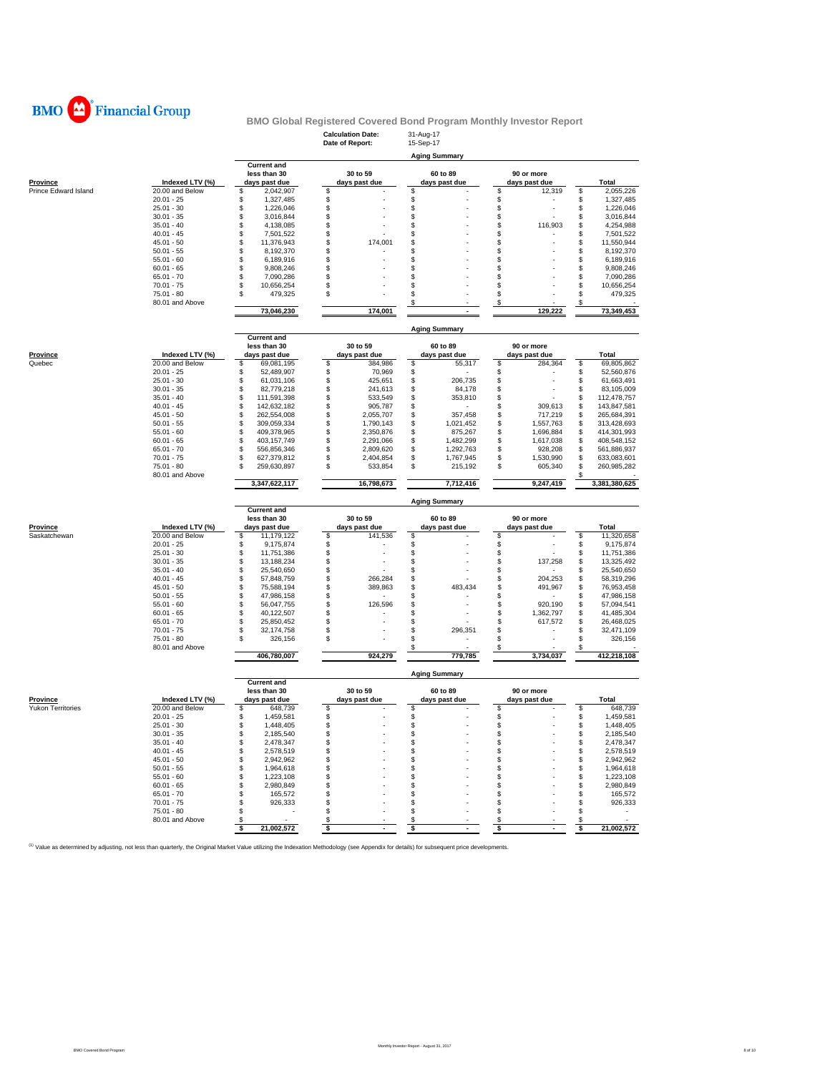

|                          |                                 |                                   | <b>Calculation Date:</b><br>Date of Report: | 31-Aug-17<br>15-Sep-17 |                     |                                    |
|--------------------------|---------------------------------|-----------------------------------|---------------------------------------------|------------------------|---------------------|------------------------------------|
|                          |                                 |                                   |                                             |                        |                     |                                    |
|                          |                                 | <b>Current and</b>                |                                             | <b>Aging Summary</b>   |                     |                                    |
|                          |                                 | less than 30                      | 30 to 59                                    | 60 to 89               | 90 or more          |                                    |
| <b>Province</b>          | Indexed LTV (%)                 | days past due                     | days past due                               | days past due          | days past due       | <b>Total</b>                       |
| Prince Edward Island     | 20.00 and Below<br>$20.01 - 25$ | 2,042,907<br>\$<br>S              | S                                           | S<br>\$                | \$<br>12,319<br>\$  | \$<br>2,055,226                    |
|                          | $25.01 - 30$                    | 1,327,485<br>\$<br>1,226,046      | \$<br>\$                                    | \$                     | \$                  | \$<br>1,327,485<br>\$<br>1,226,046 |
|                          | $30.01 - 35$                    | \$<br>3,016,844                   | \$                                          | \$                     | \$                  | \$<br>3,016,844                    |
|                          | $35.01 - 40$                    | \$<br>4,138,085                   | \$                                          | \$                     | \$<br>116,903       | \$<br>4,254,988                    |
|                          | $40.01 - 45$                    | \$<br>7,501,522                   | \$                                          | \$                     | \$                  | \$<br>7,501,522                    |
|                          | $45.01 - 50$                    | \$<br>11,376,943                  | \$<br>174,001                               | \$                     | \$                  | \$<br>11,550,944                   |
|                          | $50.01 - 55$                    | \$<br>8,192,370                   | \$                                          | S                      | S                   | \$<br>8,192,370                    |
|                          | $55.01 - 60$                    | \$<br>6,189,916                   | \$                                          | \$                     | \$                  | \$<br>6,189,916                    |
|                          | $60.01 - 65$                    | \$<br>9,808,246                   | \$                                          | \$                     | \$                  | \$<br>9,808,246                    |
|                          | $65.01 - 70$                    | \$<br>7,090,286                   | \$                                          | \$                     | \$                  | \$<br>7,090,286                    |
|                          | $70.01 - 75$                    | \$<br>10,656,254                  | \$                                          | \$                     | \$                  | \$<br>10,656,254                   |
|                          | $75.01 - 80$                    | \$<br>479,325                     | \$                                          | \$                     | \$                  | \$<br>479,325                      |
|                          | 80.01 and Above                 |                                   | 174,001                                     | \$<br>$\sim$           | \$<br>129,222       | \$                                 |
|                          |                                 | 73,046,230                        |                                             |                        |                     | 73,349,453                         |
|                          |                                 |                                   |                                             | <b>Aging Summary</b>   |                     |                                    |
|                          |                                 | <b>Current and</b>                |                                             |                        |                     |                                    |
|                          |                                 | less than 30                      | 30 to 59                                    | 60 to 89               | 90 or more          |                                    |
| <b>Province</b>          | Indexed LTV (%)                 | days past due                     | days past due                               | days past due          | days past due<br>\$ | Total<br>\$                        |
| Quebec                   | 20.00 and Below<br>$20.01 - 25$ | \$<br>69,081,195<br>\$            | \$<br>384,986                               | \$<br>55,317<br>\$     | 284,364             | 69,805,862<br>\$                   |
|                          | $25.01 - 30$                    | 52,489,907<br>\$<br>61,031,106    | \$<br>70,969<br>\$<br>425,651               | \$<br>206,735          | \$<br>\$            | 52,560,876<br>\$<br>61,663,491     |
|                          | $30.01 - 35$                    | \$<br>82,779,218                  | \$<br>241,613                               | \$<br>84,178           | \$                  | \$<br>83,105,009                   |
|                          | $35.01 - 40$                    | \$<br>111,591,398                 | \$<br>533,549                               | \$<br>353,810          | \$                  | \$<br>112,478,757                  |
|                          | $40.01 - 45$                    | \$<br>142,632,182                 | \$<br>905,787                               | \$                     | 309,613<br>\$       | \$<br>143,847,581                  |
|                          | $45.01 - 50$                    | \$<br>262,554,008                 | \$<br>2,055,707                             | \$<br>357,458          | \$<br>717,219       | \$<br>265,684,391                  |
|                          | $50.01 - 55$                    | \$<br>309,059,334                 | \$<br>1.790.143                             | \$<br>1,021,452        | \$<br>1,557,763     | \$<br>313,428,693                  |
|                          | $55.01 - 60$                    | \$<br>409,378,965                 | \$<br>2,350,876                             | \$<br>875,267          | \$<br>1,696,884     | \$<br>414,301,993                  |
|                          | $60.01 - 65$                    | \$<br>403,157,749                 | \$<br>2,291,066                             | \$<br>1,482,299        | \$<br>1,617,038     | \$<br>408,548,152                  |
|                          | $65.01 - 70$                    | \$<br>556,856,346                 | \$<br>2,809,620                             | \$<br>1,292,763        | \$<br>928,208       | \$<br>561,886,937                  |
|                          | $70.01 - 75$                    | \$<br>627,379,812                 | \$<br>2,404,854                             | \$<br>1,767,945        | \$<br>1,530,990     | \$<br>633,083,601                  |
|                          | $75.01 - 80$                    | \$<br>259,630,897                 | \$<br>533,854                               | \$<br>215,192          | \$<br>605,340       | \$<br>260,985,282                  |
|                          | 80.01 and Above                 |                                   |                                             |                        |                     | S                                  |
|                          |                                 | 3,347,622,117                     | 16,798,673                                  | 7,712,416              | 9,247,419           | 3,381,380,625                      |
|                          |                                 |                                   |                                             | <b>Aging Summary</b>   |                     |                                    |
|                          |                                 |                                   |                                             |                        |                     |                                    |
|                          |                                 | <b>Current and</b>                |                                             |                        |                     |                                    |
|                          |                                 | less than 30                      | 30 to 59                                    | 60 to 89               | 90 or more          |                                    |
| <b>Province</b>          | Indexed LTV (%)                 | days past due                     | days past due                               | days past due          | days past due       | Total                              |
| Saskatchewan             | 20.00 and Below                 | \$<br>11,179,122                  | \$<br>141,536                               | \$                     | \$                  | \$<br>11,320,658                   |
|                          | $20.01 - 25$                    | S<br>9,175,874                    | \$                                          | \$                     | \$                  | \$<br>9,175,874                    |
|                          | $25.01 - 30$                    | \$<br>11,751,386                  | \$                                          | \$                     | \$                  | \$<br>11,751,386                   |
|                          | $30.01 - 35$                    | \$<br>13,188,234                  | \$                                          | \$                     | \$<br>137,258       | \$<br>13,325,492                   |
|                          | $35.01 - 40$                    | \$<br>25,540,650                  | \$                                          | \$                     | \$                  | \$<br>25,540,650                   |
|                          | $40.01 - 45$                    | \$<br>57,848,759                  | \$<br>266,284                               | \$                     | \$<br>204,253       | \$<br>58,319,296                   |
|                          | $45.01 - 50$                    | \$<br>75,588,194                  | \$<br>389,863                               | \$<br>483,434          | \$<br>491,967       | \$<br>76,953,458                   |
|                          | $50.01 - 55$                    | \$<br>47,986,158                  | \$                                          | \$                     | \$                  | \$<br>47,986,158                   |
|                          | $55.01 - 60$                    | \$<br>56,047,755                  | \$<br>126,596                               | S                      | \$<br>920,190       | \$<br>57,094,541                   |
|                          | $60.01 - 65$                    | \$<br>40,122,507                  | \$                                          | \$                     | \$<br>1,362,797     | \$<br>41,485,304                   |
|                          | $65.01 - 70$                    | \$<br>25,850,452                  | \$                                          | \$                     | \$<br>617,572       | \$<br>26,468,025                   |
|                          | $70.01 - 75$<br>$75.01 - 80$    | 32,174,758<br>\$<br>\$<br>326,156 | \$<br>\$                                    | \$<br>296,351<br>\$    | \$<br>\$            | \$<br>32,471,109<br>\$<br>326,156  |
|                          | 80.01 and Above                 |                                   |                                             | S                      | \$                  | \$                                 |
|                          |                                 | 406,780,007                       | 924,279                                     | 779,785                | 3,734,037           | 412,218,108                        |
|                          |                                 |                                   |                                             | <b>Aging Summary</b>   |                     |                                    |
|                          |                                 | <b>Current and</b>                |                                             |                        |                     |                                    |
|                          |                                 | less than 30                      | 30 to 59                                    | 60 to 89               | 90 or more          |                                    |
| Province                 | Indexed LTV (%)                 | days past due                     | days past due                               | days past due          | days past due       | Total                              |
| <b>Yukon Territories</b> | 20.00 and Below                 | \$<br>648,739                     | \$                                          | \$                     | \$                  | \$<br>648,739                      |
|                          | $20.01 - 25$                    | \$<br>1,459,581                   | \$                                          | \$                     | \$                  | \$<br>1,459,581                    |
|                          | $25.01 - 30$                    | \$<br>1,448,405                   | \$                                          | \$                     | \$                  | \$<br>1,448,405                    |
|                          | $30.01 - 35$                    | \$<br>2,185,540                   | \$                                          | \$                     | \$                  | \$<br>2,185,540                    |
|                          | $35.01 - 40$                    | \$<br>2,478,347                   | \$                                          | \$                     | \$                  | \$<br>2,478,347                    |
|                          | $40.01 - 45$                    | \$<br>2,578,519                   | \$                                          | S                      | \$                  | \$<br>2,578,519                    |
|                          | $45.01 - 50$                    | \$<br>2,942,962                   | \$                                          | \$                     | \$                  | \$<br>2,942,962                    |
|                          | $50.01 - 55$                    | 1,964,618<br>\$                   | \$                                          | \$                     | \$                  | \$<br>1,964,618                    |
|                          | $55.01 - 60$                    | \$<br>1,223,108                   | \$                                          | \$                     | \$                  | \$<br>1,223,108                    |
|                          | $60.01 - 65$                    | \$<br>2,980,849                   | \$                                          | \$                     | \$                  | \$<br>2,980,849                    |
|                          | $65.01 - 70$                    | \$<br>165,572                     | \$                                          | \$                     | \$                  | \$<br>165,572                      |
|                          | $70.01 - 75$                    | \$<br>926,333                     | \$                                          | \$                     | \$                  | \$<br>926,333                      |
|                          | $75.01 - 80$                    | \$                                | \$                                          | \$                     | \$                  | \$                                 |
|                          | 80.01 and Above                 | \$                                | \$<br>×                                     | \$<br>٠                | \$<br>÷.            | \$                                 |
|                          |                                 | \$<br>21,002,572                  | \$                                          | \$                     | \$                  | 21,002,572<br>\$                   |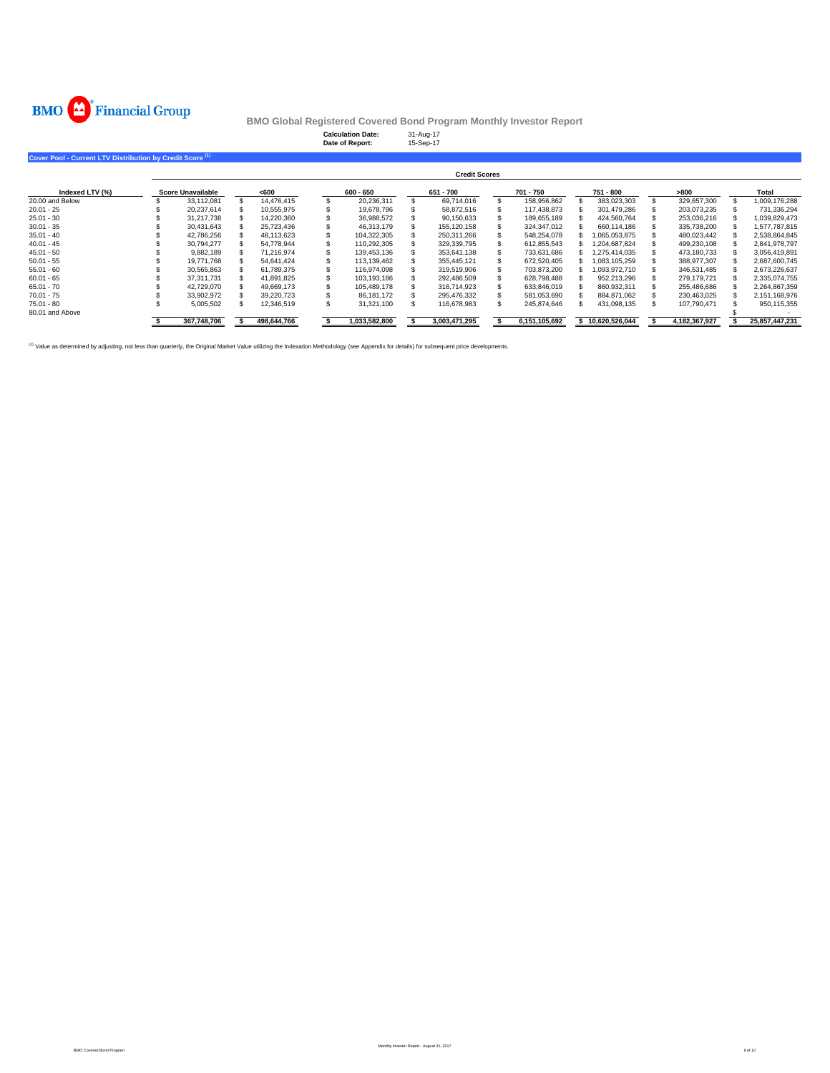

|                                                                      |                          |  |             |  | <b>Calculation Date:</b><br>Date of Report: |  | 31-Aug-17<br>15-Sep-17 |  |               |                  |               |                |
|----------------------------------------------------------------------|--------------------------|--|-------------|--|---------------------------------------------|--|------------------------|--|---------------|------------------|---------------|----------------|
| Cover Pool - Current LTV Distribution by Credit Score <sup>(1)</sup> |                          |  |             |  |                                             |  |                        |  |               |                  |               |                |
|                                                                      | <b>Credit Scores</b>     |  |             |  |                                             |  |                        |  |               |                  |               |                |
| Indexed LTV (%)                                                      | <b>Score Unavailable</b> |  | <600        |  | 600 - 650                                   |  | 651 - 700              |  | 701 - 750     | 751 - 800        | >800          | Total          |
| 20.00 and Below                                                      | 33,112,081               |  | 14,476,415  |  | 20,236,311                                  |  | 69,714,016             |  | 158,956,862   | 383,023,303      | 329,657,300   | 1,009,176,288  |
| $20.01 - 25$                                                         | 20,237,614               |  | 10,555,975  |  | 19.678.796                                  |  | 58,872,516             |  | 117,438,873   | 301.479.286      | 203,073,235   | 731,336,294    |
| $25.01 - 30$                                                         | 31,217,738               |  | 14,220,360  |  | 36,988,572                                  |  | 90,150,633             |  | 189,655,189   | 424,560,764      | 253,036,216   | 1,039,829,473  |
| $30.01 - 35$                                                         | 30,431,643               |  | 25,723,436  |  | 46.313.179                                  |  | 155,120,158            |  | 324,347,012   | 660,114,186      | 335,738,200   | 1,577,787,815  |
| $35.01 - 40$                                                         | 42,786,256               |  | 48,113,623  |  | 104,322,305                                 |  | 250,311,266            |  | 548,254,078   | 1,065,053,875    | 480,023,442   | 2,538,864,845  |
| $40.01 - 45$                                                         | 30,794,277               |  | 54,778,944  |  | 110,292,305                                 |  | 329,339,795            |  | 612,855,543   | 204,687,824      | 499,230,108   | 2,841,978,797  |
| $45.01 - 50$                                                         | 9,882,189                |  | 71,216,974  |  | 139,453,136                                 |  | 353,641,138            |  | 733,631,686   | 1,275,414,035    | 473,180,733   | 3,056,419,891  |
| $50.01 - 55$                                                         | 19.771.768               |  | 54.641.424  |  | 113.139.462                                 |  | 355.445.121            |  | 672.520.405   | 1.083.105.259    | 388.977.307   | 2,687,600,745  |
| $55.01 - 60$                                                         | 30,565,863               |  | 61.789.375  |  | 116.974.098                                 |  | 319.519.906            |  | 703,873,200   | 093,972,710      | 346,531,485   | 2,673,226,637  |
| $60.01 - 65$                                                         | 37,311,731               |  | 41,891,825  |  | 103,193,186                                 |  | 292,486,509            |  | 628,798,488   | 952,213,296      | 279,179,721   | 2,335,074,755  |
| $65.01 - 70$                                                         | 42,729,070               |  | 49,669,173  |  | 105,489,178                                 |  | 316.714.923            |  | 633,846,019   | 860,932,311      | 255,486,686   | 2,264,867,359  |
| $70.01 - 75$                                                         | 33,902,972               |  | 39,220,723  |  | 86,181,172                                  |  | 295,476,332            |  | 581,053,690   | 884,871,062      | 230,463,025   | 2,151,168,976  |
| $75.01 - 80$                                                         | 5,005,502                |  | 12,346,519  |  | 31,321,100                                  |  | 116,678,983            |  | 245,874,646   | 431,098,135      | 107,790,471   | 950, 115, 355  |
| 80.01 and Above                                                      |                          |  |             |  |                                             |  |                        |  |               |                  |               |                |
|                                                                      | 367,748,706              |  | 498,644,766 |  | 1,033,582,800                               |  | 3,003,471,295          |  | 6,151,105,692 | \$10,620,526,044 | 4,182,367,927 | 25,857,447,231 |

<sup>(1)</sup> Value as determined by adjusting, not less than quarterly, the Original Market Value utilizing the Indexation Methodology (see Appendix for details) for subsequent price developments.